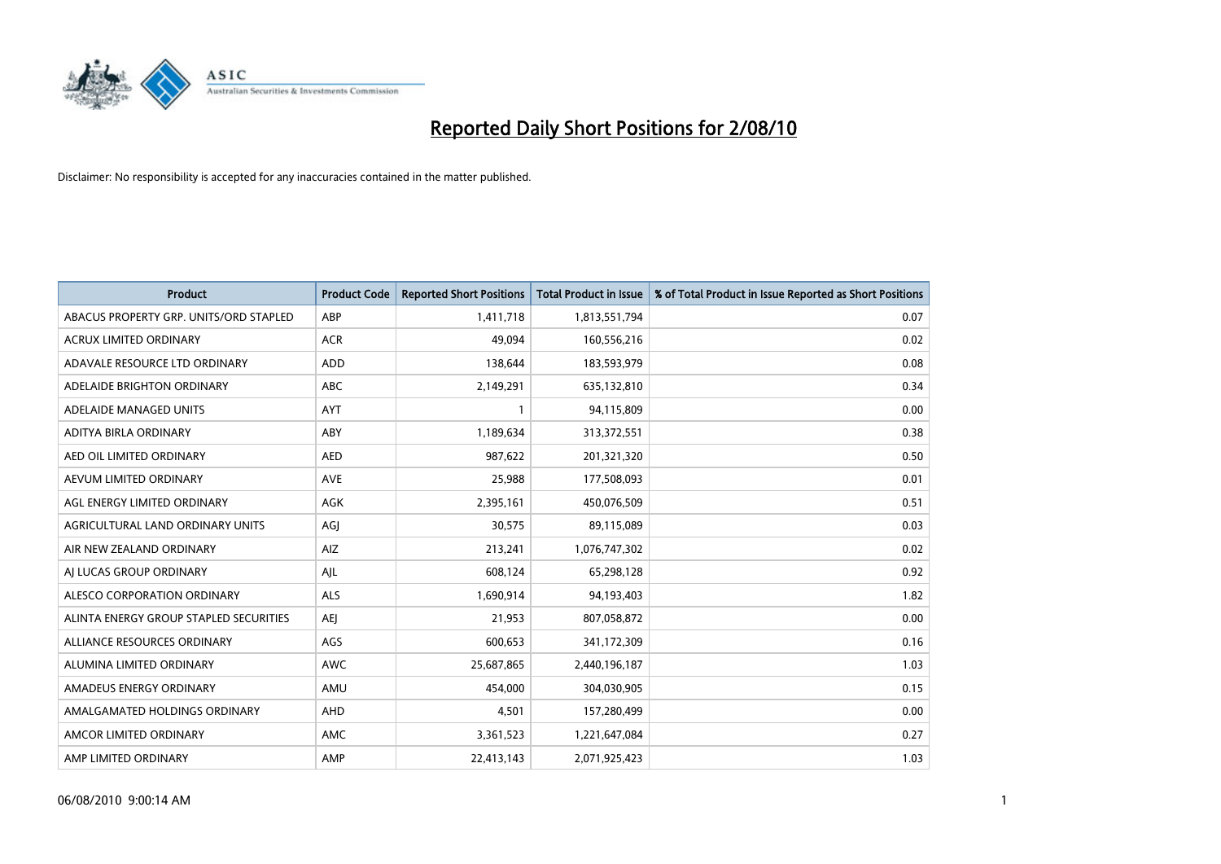

| <b>Product</b>                         | <b>Product Code</b> | <b>Reported Short Positions</b> | Total Product in Issue | % of Total Product in Issue Reported as Short Positions |
|----------------------------------------|---------------------|---------------------------------|------------------------|---------------------------------------------------------|
| ABACUS PROPERTY GRP. UNITS/ORD STAPLED | ABP                 | 1,411,718                       | 1,813,551,794          | 0.07                                                    |
| <b>ACRUX LIMITED ORDINARY</b>          | <b>ACR</b>          | 49.094                          | 160,556,216            | 0.02                                                    |
| ADAVALE RESOURCE LTD ORDINARY          | <b>ADD</b>          | 138,644                         | 183,593,979            | 0.08                                                    |
| ADELAIDE BRIGHTON ORDINARY             | <b>ABC</b>          | 2,149,291                       | 635,132,810            | 0.34                                                    |
| ADELAIDE MANAGED UNITS                 | AYT                 |                                 | 94,115,809             | 0.00                                                    |
| ADITYA BIRLA ORDINARY                  | ABY                 | 1,189,634                       | 313,372,551            | 0.38                                                    |
| AED OIL LIMITED ORDINARY               | <b>AED</b>          | 987,622                         | 201,321,320            | 0.50                                                    |
| AEVUM LIMITED ORDINARY                 | <b>AVE</b>          | 25,988                          | 177,508,093            | 0.01                                                    |
| AGL ENERGY LIMITED ORDINARY            | <b>AGK</b>          | 2,395,161                       | 450,076,509            | 0.51                                                    |
| AGRICULTURAL LAND ORDINARY UNITS       | AGI                 | 30,575                          | 89,115,089             | 0.03                                                    |
| AIR NEW ZEALAND ORDINARY               | AIZ                 | 213,241                         | 1,076,747,302          | 0.02                                                    |
| AI LUCAS GROUP ORDINARY                | AJL                 | 608,124                         | 65,298,128             | 0.92                                                    |
| ALESCO CORPORATION ORDINARY            | <b>ALS</b>          | 1,690,914                       | 94,193,403             | 1.82                                                    |
| ALINTA ENERGY GROUP STAPLED SECURITIES | <b>AEI</b>          | 21.953                          | 807,058,872            | 0.00                                                    |
| ALLIANCE RESOURCES ORDINARY            | AGS                 | 600,653                         | 341,172,309            | 0.16                                                    |
| ALUMINA LIMITED ORDINARY               | <b>AWC</b>          | 25,687,865                      | 2,440,196,187          | 1.03                                                    |
| AMADEUS ENERGY ORDINARY                | AMU                 | 454,000                         | 304,030,905            | 0.15                                                    |
| AMALGAMATED HOLDINGS ORDINARY          | AHD                 | 4,501                           | 157,280,499            | 0.00                                                    |
| AMCOR LIMITED ORDINARY                 | <b>AMC</b>          | 3,361,523                       | 1,221,647,084          | 0.27                                                    |
| AMP LIMITED ORDINARY                   | AMP                 | 22,413,143                      | 2,071,925,423          | 1.03                                                    |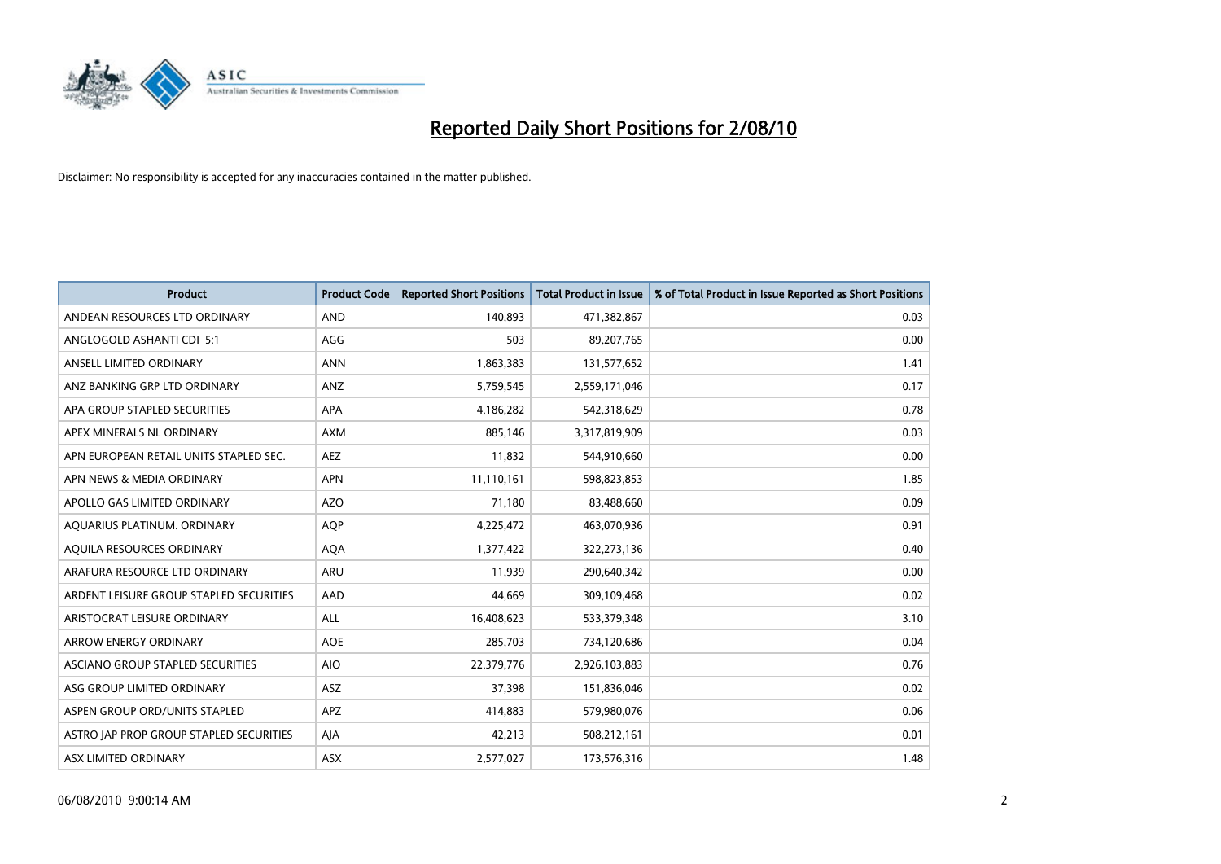

| <b>Product</b>                          | <b>Product Code</b> | <b>Reported Short Positions</b> | Total Product in Issue | % of Total Product in Issue Reported as Short Positions |
|-----------------------------------------|---------------------|---------------------------------|------------------------|---------------------------------------------------------|
| ANDEAN RESOURCES LTD ORDINARY           | <b>AND</b>          | 140,893                         | 471,382,867            | 0.03                                                    |
| ANGLOGOLD ASHANTI CDI 5:1               | AGG                 | 503                             | 89,207,765             | 0.00                                                    |
| ANSELL LIMITED ORDINARY                 | <b>ANN</b>          | 1,863,383                       | 131,577,652            | 1.41                                                    |
| ANZ BANKING GRP LTD ORDINARY            | ANZ                 | 5,759,545                       | 2,559,171,046          | 0.17                                                    |
| APA GROUP STAPLED SECURITIES            | APA                 | 4,186,282                       | 542,318,629            | 0.78                                                    |
| APEX MINERALS NL ORDINARY               | <b>AXM</b>          | 885,146                         | 3,317,819,909          | 0.03                                                    |
| APN EUROPEAN RETAIL UNITS STAPLED SEC.  | <b>AEZ</b>          | 11,832                          | 544,910,660            | 0.00                                                    |
| APN NEWS & MEDIA ORDINARY               | <b>APN</b>          | 11,110,161                      | 598,823,853            | 1.85                                                    |
| APOLLO GAS LIMITED ORDINARY             | <b>AZO</b>          | 71,180                          | 83,488,660             | 0.09                                                    |
| AQUARIUS PLATINUM. ORDINARY             | <b>AOP</b>          | 4,225,472                       | 463,070,936            | 0.91                                                    |
| AQUILA RESOURCES ORDINARY               | <b>AQA</b>          | 1,377,422                       | 322,273,136            | 0.40                                                    |
| ARAFURA RESOURCE LTD ORDINARY           | <b>ARU</b>          | 11,939                          | 290,640,342            | 0.00                                                    |
| ARDENT LEISURE GROUP STAPLED SECURITIES | AAD                 | 44,669                          | 309,109,468            | 0.02                                                    |
| ARISTOCRAT LEISURE ORDINARY             | ALL                 | 16,408,623                      | 533,379,348            | 3.10                                                    |
| <b>ARROW ENERGY ORDINARY</b>            | <b>AOE</b>          | 285,703                         | 734,120,686            | 0.04                                                    |
| ASCIANO GROUP STAPLED SECURITIES        | <b>AIO</b>          | 22,379,776                      | 2,926,103,883          | 0.76                                                    |
| ASG GROUP LIMITED ORDINARY              | ASZ                 | 37,398                          | 151,836,046            | 0.02                                                    |
| ASPEN GROUP ORD/UNITS STAPLED           | <b>APZ</b>          | 414,883                         | 579,980,076            | 0.06                                                    |
| ASTRO JAP PROP GROUP STAPLED SECURITIES | AJA                 | 42,213                          | 508,212,161            | 0.01                                                    |
| ASX LIMITED ORDINARY                    | ASX                 | 2,577,027                       | 173,576,316            | 1.48                                                    |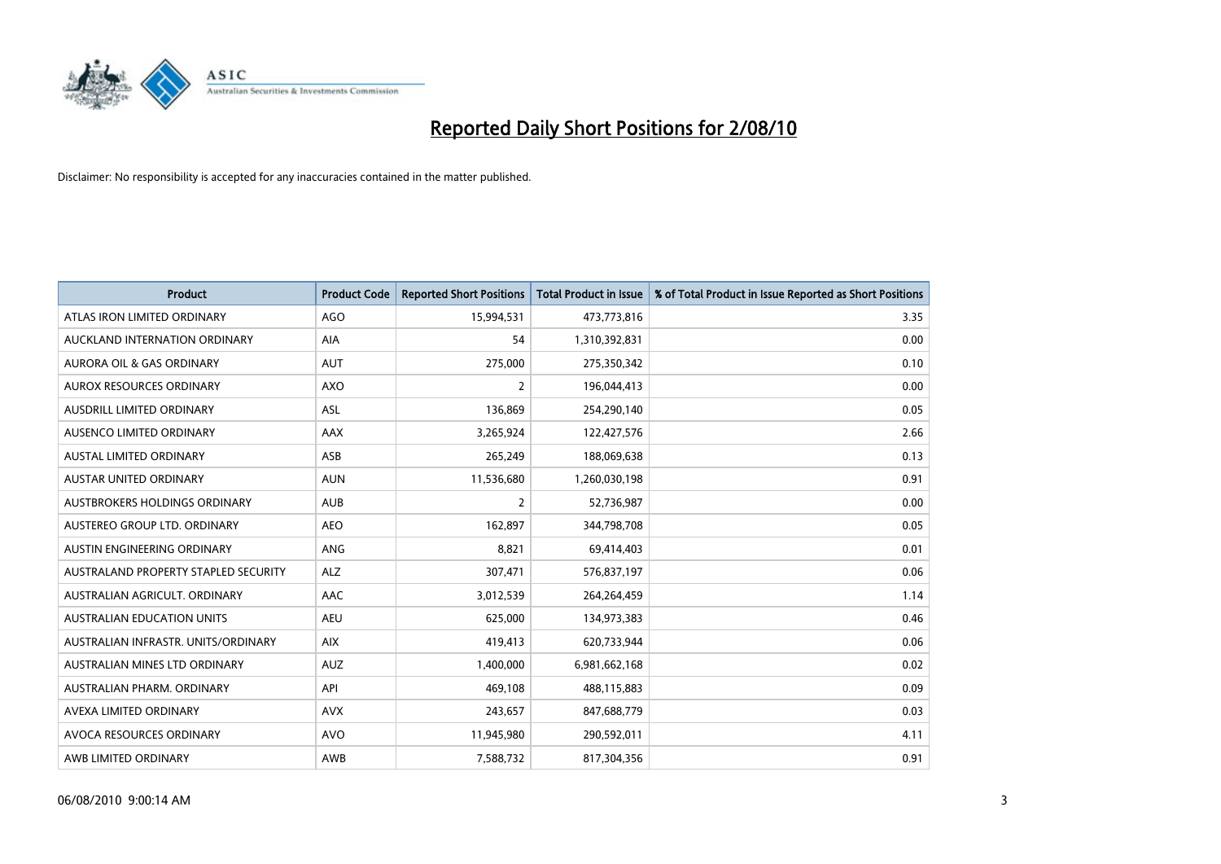

| <b>Product</b>                       | <b>Product Code</b> | <b>Reported Short Positions</b> | <b>Total Product in Issue</b> | % of Total Product in Issue Reported as Short Positions |
|--------------------------------------|---------------------|---------------------------------|-------------------------------|---------------------------------------------------------|
| ATLAS IRON LIMITED ORDINARY          | <b>AGO</b>          | 15,994,531                      | 473,773,816                   | 3.35                                                    |
| AUCKLAND INTERNATION ORDINARY        | AIA                 | 54                              | 1,310,392,831                 | 0.00                                                    |
| <b>AURORA OIL &amp; GAS ORDINARY</b> | <b>AUT</b>          | 275,000                         | 275,350,342                   | 0.10                                                    |
| AUROX RESOURCES ORDINARY             | <b>AXO</b>          | 2                               | 196,044,413                   | 0.00                                                    |
| AUSDRILL LIMITED ORDINARY            | ASL                 | 136,869                         | 254,290,140                   | 0.05                                                    |
| AUSENCO LIMITED ORDINARY             | <b>AAX</b>          | 3,265,924                       | 122,427,576                   | 2.66                                                    |
| <b>AUSTAL LIMITED ORDINARY</b>       | ASB                 | 265,249                         | 188,069,638                   | 0.13                                                    |
| AUSTAR UNITED ORDINARY               | <b>AUN</b>          | 11,536,680                      | 1,260,030,198                 | 0.91                                                    |
| AUSTBROKERS HOLDINGS ORDINARY        | <b>AUB</b>          | 2                               | 52,736,987                    | 0.00                                                    |
| AUSTEREO GROUP LTD. ORDINARY         | AEO                 | 162,897                         | 344,798,708                   | 0.05                                                    |
| AUSTIN ENGINEERING ORDINARY          | ANG                 | 8,821                           | 69,414,403                    | 0.01                                                    |
| AUSTRALAND PROPERTY STAPLED SECURITY | <b>ALZ</b>          | 307,471                         | 576,837,197                   | 0.06                                                    |
| AUSTRALIAN AGRICULT. ORDINARY        | AAC                 | 3,012,539                       | 264,264,459                   | 1.14                                                    |
| AUSTRALIAN EDUCATION UNITS           | <b>AEU</b>          | 625,000                         | 134,973,383                   | 0.46                                                    |
| AUSTRALIAN INFRASTR, UNITS/ORDINARY  | <b>AIX</b>          | 419,413                         | 620,733,944                   | 0.06                                                    |
| AUSTRALIAN MINES LTD ORDINARY        | <b>AUZ</b>          | 1,400,000                       | 6,981,662,168                 | 0.02                                                    |
| AUSTRALIAN PHARM. ORDINARY           | API                 | 469,108                         | 488,115,883                   | 0.09                                                    |
| AVEXA LIMITED ORDINARY               | <b>AVX</b>          | 243,657                         | 847,688,779                   | 0.03                                                    |
| AVOCA RESOURCES ORDINARY             | <b>AVO</b>          | 11,945,980                      | 290,592,011                   | 4.11                                                    |
| AWB LIMITED ORDINARY                 | AWB                 | 7,588,732                       | 817,304,356                   | 0.91                                                    |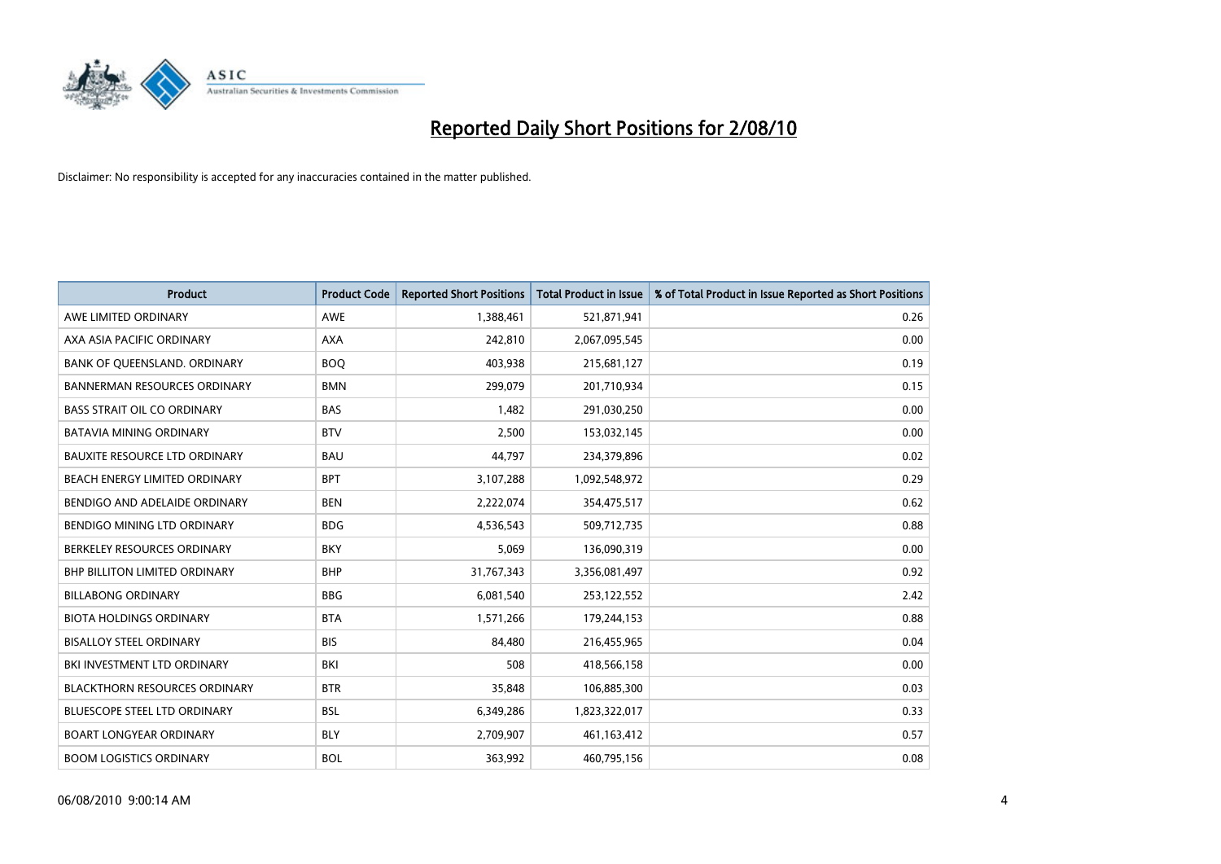

| <b>Product</b>                       | <b>Product Code</b> | <b>Reported Short Positions</b> | Total Product in Issue | % of Total Product in Issue Reported as Short Positions |
|--------------------------------------|---------------------|---------------------------------|------------------------|---------------------------------------------------------|
| AWE LIMITED ORDINARY                 | <b>AWE</b>          | 1,388,461                       | 521,871,941            | 0.26                                                    |
| AXA ASIA PACIFIC ORDINARY            | <b>AXA</b>          | 242,810                         | 2,067,095,545          | 0.00                                                    |
| BANK OF QUEENSLAND. ORDINARY         | <b>BOO</b>          | 403,938                         | 215,681,127            | 0.19                                                    |
| <b>BANNERMAN RESOURCES ORDINARY</b>  | <b>BMN</b>          | 299,079                         | 201,710,934            | 0.15                                                    |
| <b>BASS STRAIT OIL CO ORDINARY</b>   | <b>BAS</b>          | 1.482                           | 291,030,250            | 0.00                                                    |
| <b>BATAVIA MINING ORDINARY</b>       | <b>BTV</b>          | 2,500                           | 153,032,145            | 0.00                                                    |
| <b>BAUXITE RESOURCE LTD ORDINARY</b> | <b>BAU</b>          | 44.797                          | 234,379,896            | 0.02                                                    |
| BEACH ENERGY LIMITED ORDINARY        | <b>BPT</b>          | 3,107,288                       | 1,092,548,972          | 0.29                                                    |
| BENDIGO AND ADELAIDE ORDINARY        | <b>BEN</b>          | 2,222,074                       | 354,475,517            | 0.62                                                    |
| BENDIGO MINING LTD ORDINARY          | <b>BDG</b>          | 4,536,543                       | 509,712,735            | 0.88                                                    |
| BERKELEY RESOURCES ORDINARY          | <b>BKY</b>          | 5.069                           | 136,090,319            | 0.00                                                    |
| <b>BHP BILLITON LIMITED ORDINARY</b> | <b>BHP</b>          | 31,767,343                      | 3,356,081,497          | 0.92                                                    |
| <b>BILLABONG ORDINARY</b>            | <b>BBG</b>          | 6,081,540                       | 253,122,552            | 2.42                                                    |
| <b>BIOTA HOLDINGS ORDINARY</b>       | <b>BTA</b>          | 1,571,266                       | 179,244,153            | 0.88                                                    |
| <b>BISALLOY STEEL ORDINARY</b>       | <b>BIS</b>          | 84,480                          | 216,455,965            | 0.04                                                    |
| BKI INVESTMENT LTD ORDINARY          | BKI                 | 508                             | 418,566,158            | 0.00                                                    |
| <b>BLACKTHORN RESOURCES ORDINARY</b> | <b>BTR</b>          | 35,848                          | 106,885,300            | 0.03                                                    |
| BLUESCOPE STEEL LTD ORDINARY         | <b>BSL</b>          | 6,349,286                       | 1,823,322,017          | 0.33                                                    |
| <b>BOART LONGYEAR ORDINARY</b>       | <b>BLY</b>          | 2,709,907                       | 461,163,412            | 0.57                                                    |
| <b>BOOM LOGISTICS ORDINARY</b>       | <b>BOL</b>          | 363.992                         | 460,795,156            | 0.08                                                    |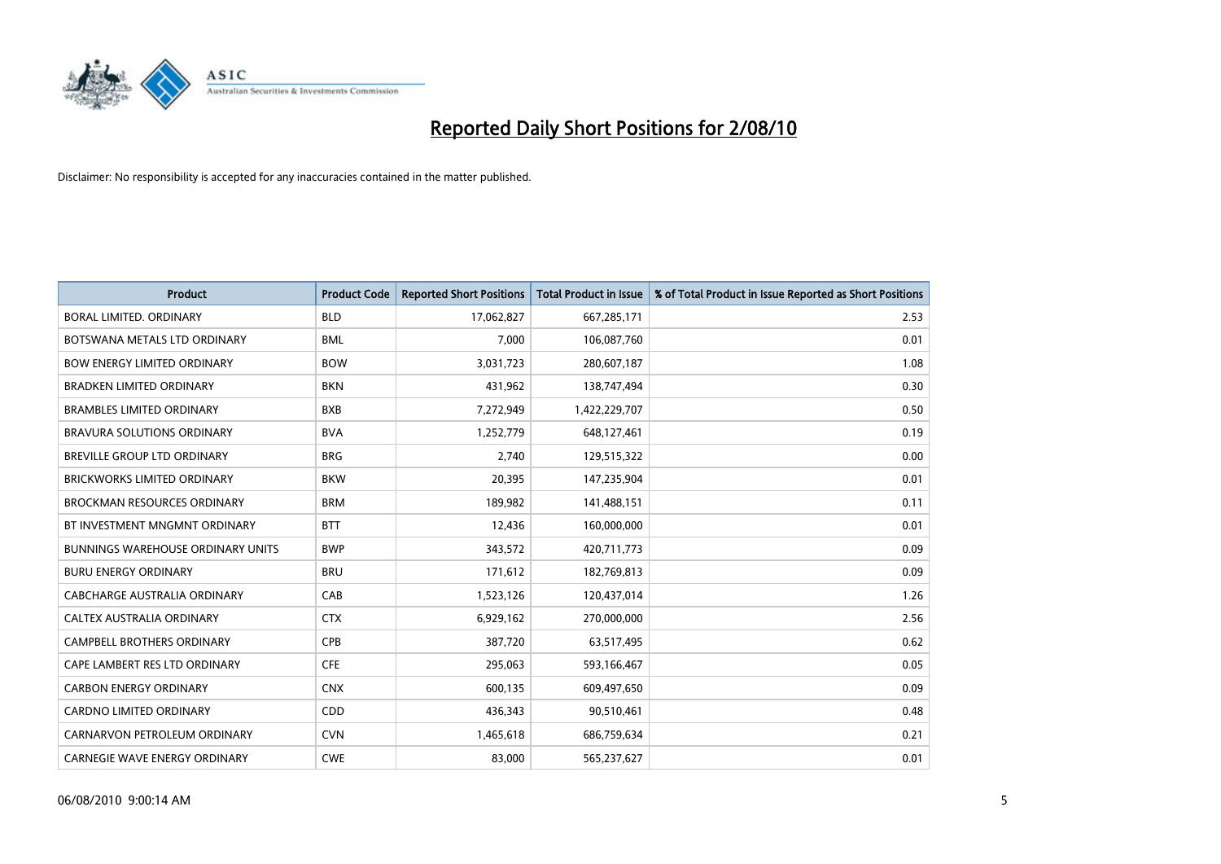

| <b>Product</b>                           | <b>Product Code</b> | <b>Reported Short Positions</b> | <b>Total Product in Issue</b> | % of Total Product in Issue Reported as Short Positions |
|------------------------------------------|---------------------|---------------------------------|-------------------------------|---------------------------------------------------------|
| <b>BORAL LIMITED, ORDINARY</b>           | <b>BLD</b>          | 17,062,827                      | 667,285,171                   | 2.53                                                    |
| BOTSWANA METALS LTD ORDINARY             | <b>BML</b>          | 7.000                           | 106,087,760                   | 0.01                                                    |
| <b>BOW ENERGY LIMITED ORDINARY</b>       | <b>BOW</b>          | 3,031,723                       | 280,607,187                   | 1.08                                                    |
| <b>BRADKEN LIMITED ORDINARY</b>          | <b>BKN</b>          | 431,962                         | 138,747,494                   | 0.30                                                    |
| <b>BRAMBLES LIMITED ORDINARY</b>         | <b>BXB</b>          | 7,272,949                       | 1,422,229,707                 | 0.50                                                    |
| BRAVURA SOLUTIONS ORDINARY               | <b>BVA</b>          | 1,252,779                       | 648,127,461                   | 0.19                                                    |
| <b>BREVILLE GROUP LTD ORDINARY</b>       | <b>BRG</b>          | 2.740                           | 129,515,322                   | 0.00                                                    |
| <b>BRICKWORKS LIMITED ORDINARY</b>       | <b>BKW</b>          | 20,395                          | 147,235,904                   | 0.01                                                    |
| <b>BROCKMAN RESOURCES ORDINARY</b>       | <b>BRM</b>          | 189,982                         | 141,488,151                   | 0.11                                                    |
| BT INVESTMENT MNGMNT ORDINARY            | <b>BTT</b>          | 12,436                          | 160,000,000                   | 0.01                                                    |
| <b>BUNNINGS WAREHOUSE ORDINARY UNITS</b> | <b>BWP</b>          | 343,572                         | 420,711,773                   | 0.09                                                    |
| <b>BURU ENERGY ORDINARY</b>              | <b>BRU</b>          | 171,612                         | 182,769,813                   | 0.09                                                    |
| CABCHARGE AUSTRALIA ORDINARY             | CAB                 | 1,523,126                       | 120,437,014                   | 1.26                                                    |
| CALTEX AUSTRALIA ORDINARY                | <b>CTX</b>          | 6,929,162                       | 270,000,000                   | 2.56                                                    |
| CAMPBELL BROTHERS ORDINARY               | <b>CPB</b>          | 387,720                         | 63,517,495                    | 0.62                                                    |
| CAPE LAMBERT RES LTD ORDINARY            | <b>CFE</b>          | 295,063                         | 593,166,467                   | 0.05                                                    |
| <b>CARBON ENERGY ORDINARY</b>            | <b>CNX</b>          | 600,135                         | 609,497,650                   | 0.09                                                    |
| CARDNO LIMITED ORDINARY                  | CDD                 | 436,343                         | 90,510,461                    | 0.48                                                    |
| CARNARVON PETROLEUM ORDINARY             | <b>CVN</b>          | 1,465,618                       | 686,759,634                   | 0.21                                                    |
| <b>CARNEGIE WAVE ENERGY ORDINARY</b>     | <b>CWE</b>          | 83.000                          | 565,237,627                   | 0.01                                                    |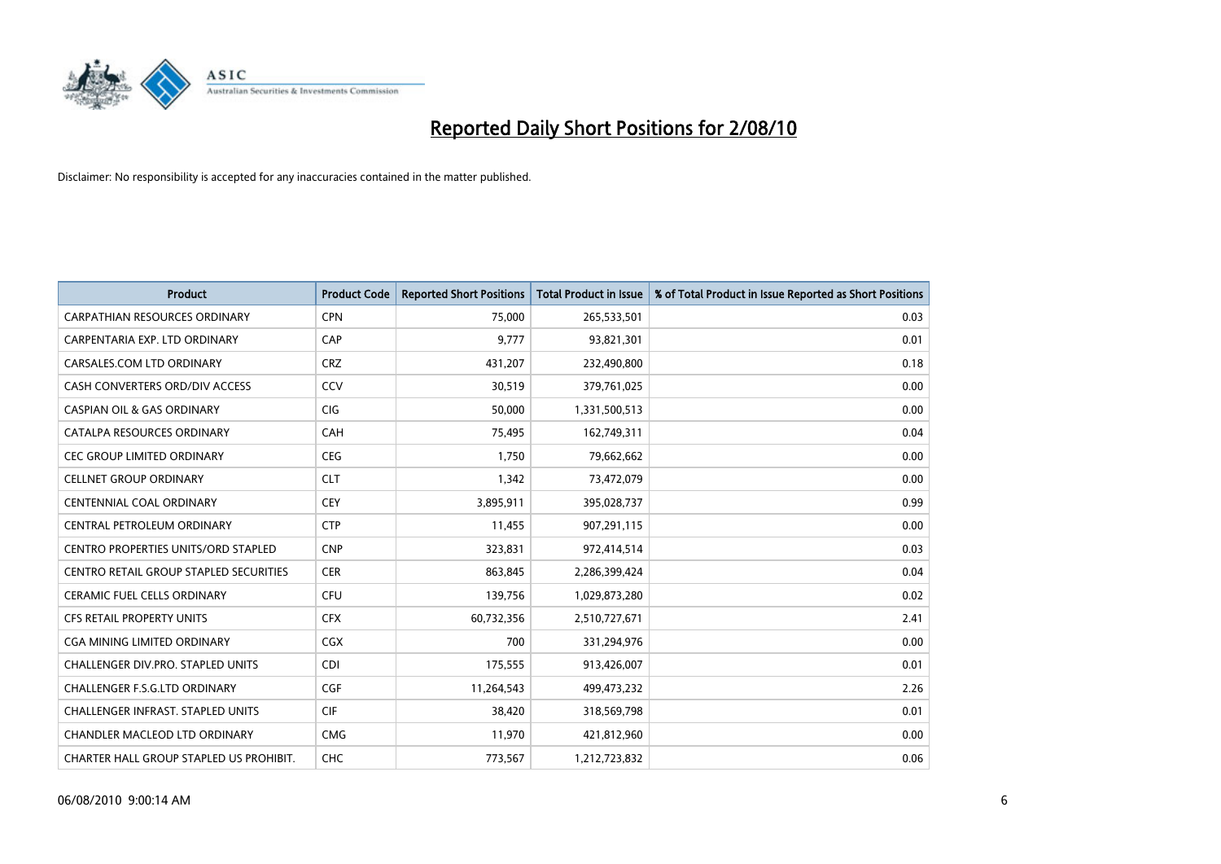

| <b>Product</b>                                | <b>Product Code</b> | <b>Reported Short Positions</b> | <b>Total Product in Issue</b> | % of Total Product in Issue Reported as Short Positions |
|-----------------------------------------------|---------------------|---------------------------------|-------------------------------|---------------------------------------------------------|
| <b>CARPATHIAN RESOURCES ORDINARY</b>          | <b>CPN</b>          | 75,000                          | 265,533,501                   | 0.03                                                    |
| CARPENTARIA EXP. LTD ORDINARY                 | CAP                 | 9.777                           | 93,821,301                    | 0.01                                                    |
| CARSALES.COM LTD ORDINARY                     | <b>CRZ</b>          | 431,207                         | 232,490,800                   | 0.18                                                    |
| CASH CONVERTERS ORD/DIV ACCESS                | CCV                 | 30,519                          | 379,761,025                   | 0.00                                                    |
| <b>CASPIAN OIL &amp; GAS ORDINARY</b>         | <b>CIG</b>          | 50.000                          | 1,331,500,513                 | 0.00                                                    |
| CATALPA RESOURCES ORDINARY                    | CAH                 | 75,495                          | 162,749,311                   | 0.04                                                    |
| <b>CEC GROUP LIMITED ORDINARY</b>             | <b>CEG</b>          | 1.750                           | 79,662,662                    | 0.00                                                    |
| <b>CELLNET GROUP ORDINARY</b>                 | <b>CLT</b>          | 1,342                           | 73,472,079                    | 0.00                                                    |
| <b>CENTENNIAL COAL ORDINARY</b>               | CEY                 | 3,895,911                       | 395,028,737                   | 0.99                                                    |
| CENTRAL PETROLEUM ORDINARY                    | <b>CTP</b>          | 11,455                          | 907,291,115                   | 0.00                                                    |
| <b>CENTRO PROPERTIES UNITS/ORD STAPLED</b>    | <b>CNP</b>          | 323,831                         | 972,414,514                   | 0.03                                                    |
| <b>CENTRO RETAIL GROUP STAPLED SECURITIES</b> | <b>CER</b>          | 863,845                         | 2,286,399,424                 | 0.04                                                    |
| <b>CERAMIC FUEL CELLS ORDINARY</b>            | CFU                 | 139,756                         | 1,029,873,280                 | 0.02                                                    |
| <b>CFS RETAIL PROPERTY UNITS</b>              | <b>CFX</b>          | 60,732,356                      | 2,510,727,671                 | 2.41                                                    |
| <b>CGA MINING LIMITED ORDINARY</b>            | CGX                 | 700                             | 331,294,976                   | 0.00                                                    |
| <b>CHALLENGER DIV.PRO. STAPLED UNITS</b>      | <b>CDI</b>          | 175,555                         | 913,426,007                   | 0.01                                                    |
| <b>CHALLENGER F.S.G.LTD ORDINARY</b>          | CGF                 | 11,264,543                      | 499,473,232                   | 2.26                                                    |
| CHALLENGER INFRAST. STAPLED UNITS             | <b>CIF</b>          | 38,420                          | 318,569,798                   | 0.01                                                    |
| <b>CHANDLER MACLEOD LTD ORDINARY</b>          | <b>CMG</b>          | 11,970                          | 421,812,960                   | 0.00                                                    |
| CHARTER HALL GROUP STAPLED US PROHIBIT.       | <b>CHC</b>          | 773,567                         | 1,212,723,832                 | 0.06                                                    |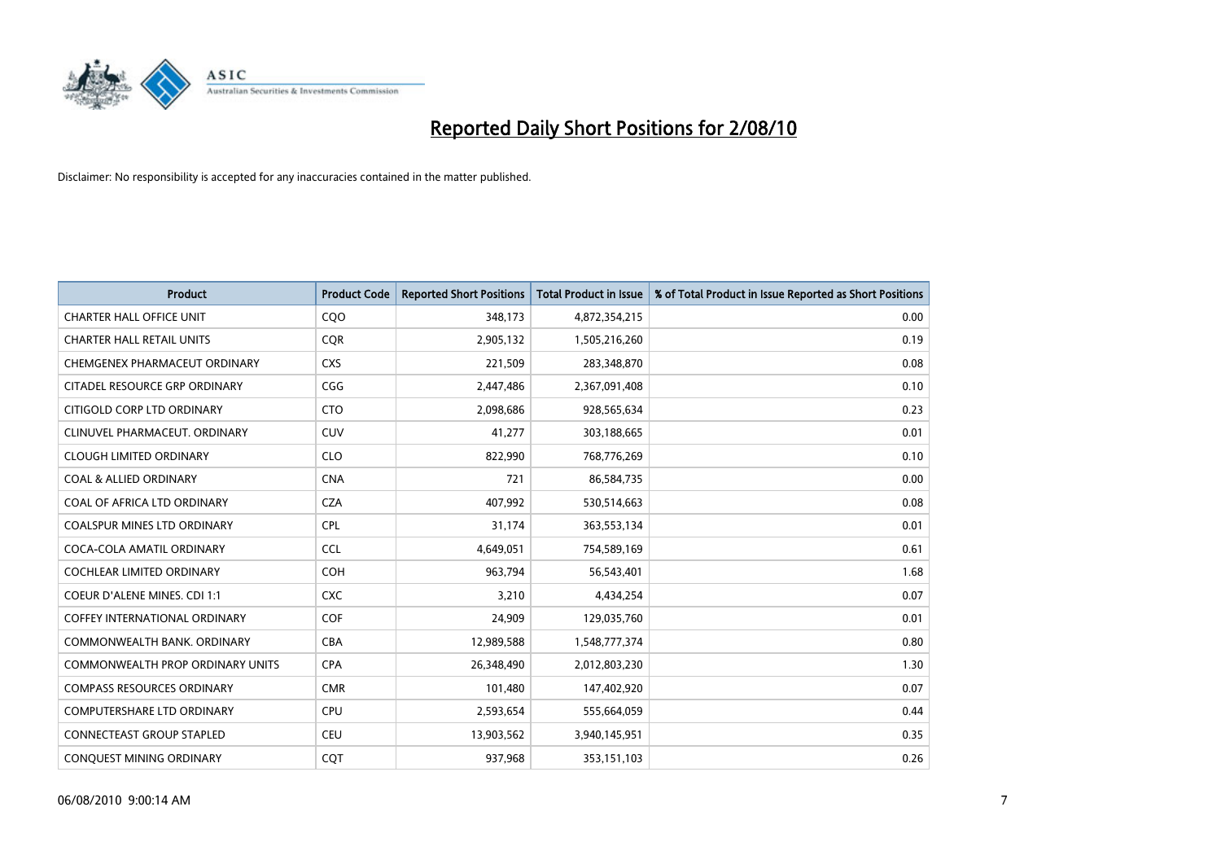

| <b>Product</b>                          | <b>Product Code</b> | <b>Reported Short Positions</b> | Total Product in Issue | % of Total Product in Issue Reported as Short Positions |
|-----------------------------------------|---------------------|---------------------------------|------------------------|---------------------------------------------------------|
| <b>CHARTER HALL OFFICE UNIT</b>         | CQO                 | 348,173                         | 4,872,354,215          | 0.00                                                    |
| <b>CHARTER HALL RETAIL UNITS</b>        | <b>COR</b>          | 2,905,132                       | 1,505,216,260          | 0.19                                                    |
| CHEMGENEX PHARMACEUT ORDINARY           | <b>CXS</b>          | 221,509                         | 283,348,870            | 0.08                                                    |
| CITADEL RESOURCE GRP ORDINARY           | CGG                 | 2,447,486                       | 2,367,091,408          | 0.10                                                    |
| CITIGOLD CORP LTD ORDINARY              | <b>CTO</b>          | 2,098,686                       | 928,565,634            | 0.23                                                    |
| CLINUVEL PHARMACEUT, ORDINARY           | CUV                 | 41,277                          | 303,188,665            | 0.01                                                    |
| <b>CLOUGH LIMITED ORDINARY</b>          | <b>CLO</b>          | 822,990                         | 768,776,269            | 0.10                                                    |
| <b>COAL &amp; ALLIED ORDINARY</b>       | <b>CNA</b>          | 721                             | 86,584,735             | 0.00                                                    |
| COAL OF AFRICA LTD ORDINARY             | <b>CZA</b>          | 407,992                         | 530,514,663            | 0.08                                                    |
| <b>COALSPUR MINES LTD ORDINARY</b>      | <b>CPL</b>          | 31,174                          | 363,553,134            | 0.01                                                    |
| COCA-COLA AMATIL ORDINARY               | <b>CCL</b>          | 4,649,051                       | 754,589,169            | 0.61                                                    |
| <b>COCHLEAR LIMITED ORDINARY</b>        | <b>COH</b>          | 963,794                         | 56,543,401             | 1.68                                                    |
| <b>COEUR D'ALENE MINES. CDI 1:1</b>     | <b>CXC</b>          | 3,210                           | 4,434,254              | 0.07                                                    |
| <b>COFFEY INTERNATIONAL ORDINARY</b>    | COF                 | 24,909                          | 129,035,760            | 0.01                                                    |
| COMMONWEALTH BANK, ORDINARY             | <b>CBA</b>          | 12,989,588                      | 1,548,777,374          | 0.80                                                    |
| <b>COMMONWEALTH PROP ORDINARY UNITS</b> | <b>CPA</b>          | 26,348,490                      | 2,012,803,230          | 1.30                                                    |
| <b>COMPASS RESOURCES ORDINARY</b>       | <b>CMR</b>          | 101,480                         | 147,402,920            | 0.07                                                    |
| COMPUTERSHARE LTD ORDINARY              | <b>CPU</b>          | 2,593,654                       | 555,664,059            | 0.44                                                    |
| <b>CONNECTEAST GROUP STAPLED</b>        | <b>CEU</b>          | 13,903,562                      | 3,940,145,951          | 0.35                                                    |
| CONQUEST MINING ORDINARY                | <b>COT</b>          | 937,968                         | 353,151,103            | 0.26                                                    |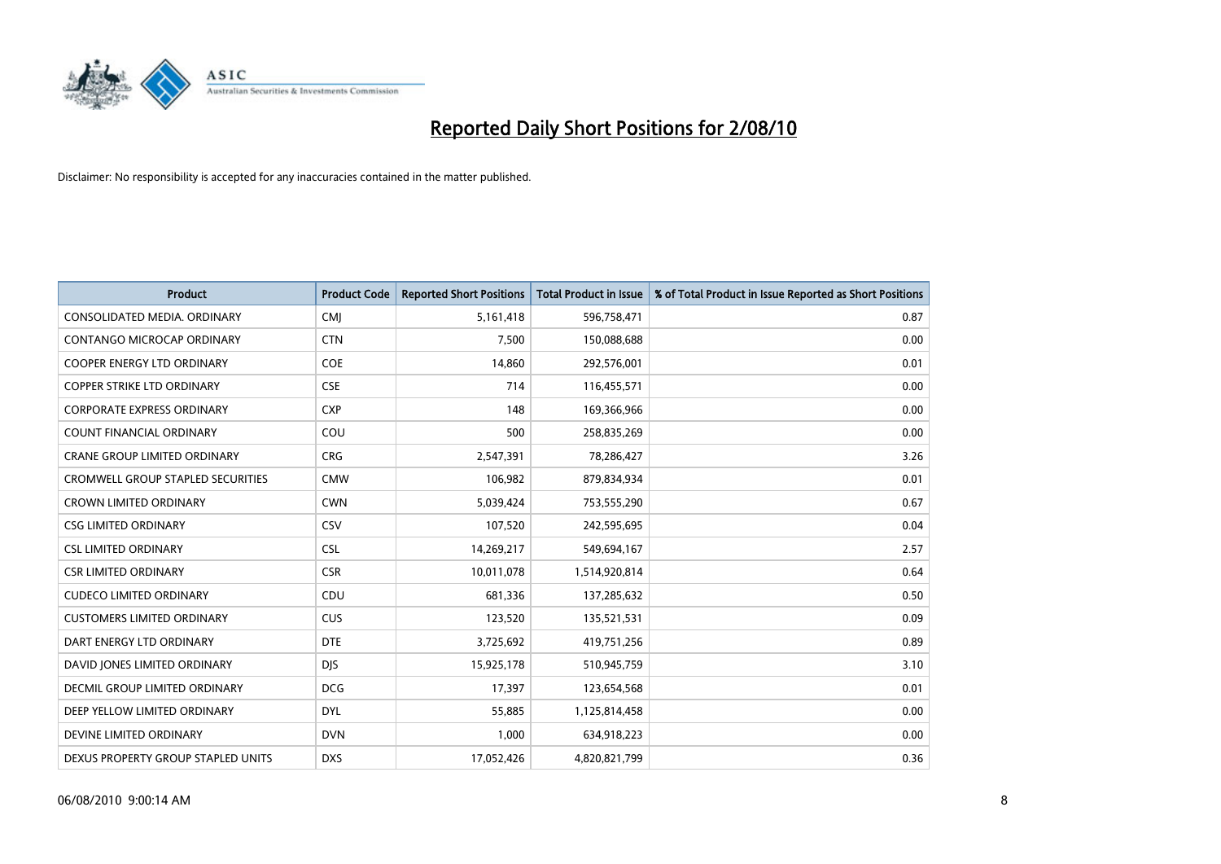

| <b>Product</b>                           | <b>Product Code</b> | <b>Reported Short Positions</b> | Total Product in Issue | % of Total Product in Issue Reported as Short Positions |
|------------------------------------------|---------------------|---------------------------------|------------------------|---------------------------------------------------------|
| CONSOLIDATED MEDIA, ORDINARY             | <b>CMJ</b>          | 5,161,418                       | 596,758,471            | 0.87                                                    |
| CONTANGO MICROCAP ORDINARY               | <b>CTN</b>          | 7,500                           | 150,088,688            | 0.00                                                    |
| <b>COOPER ENERGY LTD ORDINARY</b>        | <b>COE</b>          | 14,860                          | 292,576,001            | 0.01                                                    |
| COPPER STRIKE LTD ORDINARY               | <b>CSE</b>          | 714                             | 116,455,571            | 0.00                                                    |
| <b>CORPORATE EXPRESS ORDINARY</b>        | <b>CXP</b>          | 148                             | 169,366,966            | 0.00                                                    |
| <b>COUNT FINANCIAL ORDINARY</b>          | COU                 | 500                             | 258,835,269            | 0.00                                                    |
| <b>CRANE GROUP LIMITED ORDINARY</b>      | <b>CRG</b>          | 2,547,391                       | 78,286,427             | 3.26                                                    |
| <b>CROMWELL GROUP STAPLED SECURITIES</b> | <b>CMW</b>          | 106,982                         | 879,834,934            | 0.01                                                    |
| <b>CROWN LIMITED ORDINARY</b>            | <b>CWN</b>          | 5,039,424                       | 753,555,290            | 0.67                                                    |
| <b>CSG LIMITED ORDINARY</b>              | CSV                 | 107,520                         | 242,595,695            | 0.04                                                    |
| <b>CSL LIMITED ORDINARY</b>              | <b>CSL</b>          | 14,269,217                      | 549,694,167            | 2.57                                                    |
| <b>CSR LIMITED ORDINARY</b>              | <b>CSR</b>          | 10,011,078                      | 1,514,920,814          | 0.64                                                    |
| <b>CUDECO LIMITED ORDINARY</b>           | CDU                 | 681,336                         | 137,285,632            | 0.50                                                    |
| <b>CUSTOMERS LIMITED ORDINARY</b>        | CUS                 | 123,520                         | 135,521,531            | 0.09                                                    |
| DART ENERGY LTD ORDINARY                 | <b>DTE</b>          | 3,725,692                       | 419,751,256            | 0.89                                                    |
| DAVID JONES LIMITED ORDINARY             | <b>DIS</b>          | 15,925,178                      | 510,945,759            | 3.10                                                    |
| <b>DECMIL GROUP LIMITED ORDINARY</b>     | <b>DCG</b>          | 17,397                          | 123,654,568            | 0.01                                                    |
| DEEP YELLOW LIMITED ORDINARY             | <b>DYL</b>          | 55,885                          | 1,125,814,458          | 0.00                                                    |
| DEVINE LIMITED ORDINARY                  | <b>DVN</b>          | 1,000                           | 634,918,223            | 0.00                                                    |
| DEXUS PROPERTY GROUP STAPLED UNITS       | <b>DXS</b>          | 17,052,426                      | 4,820,821,799          | 0.36                                                    |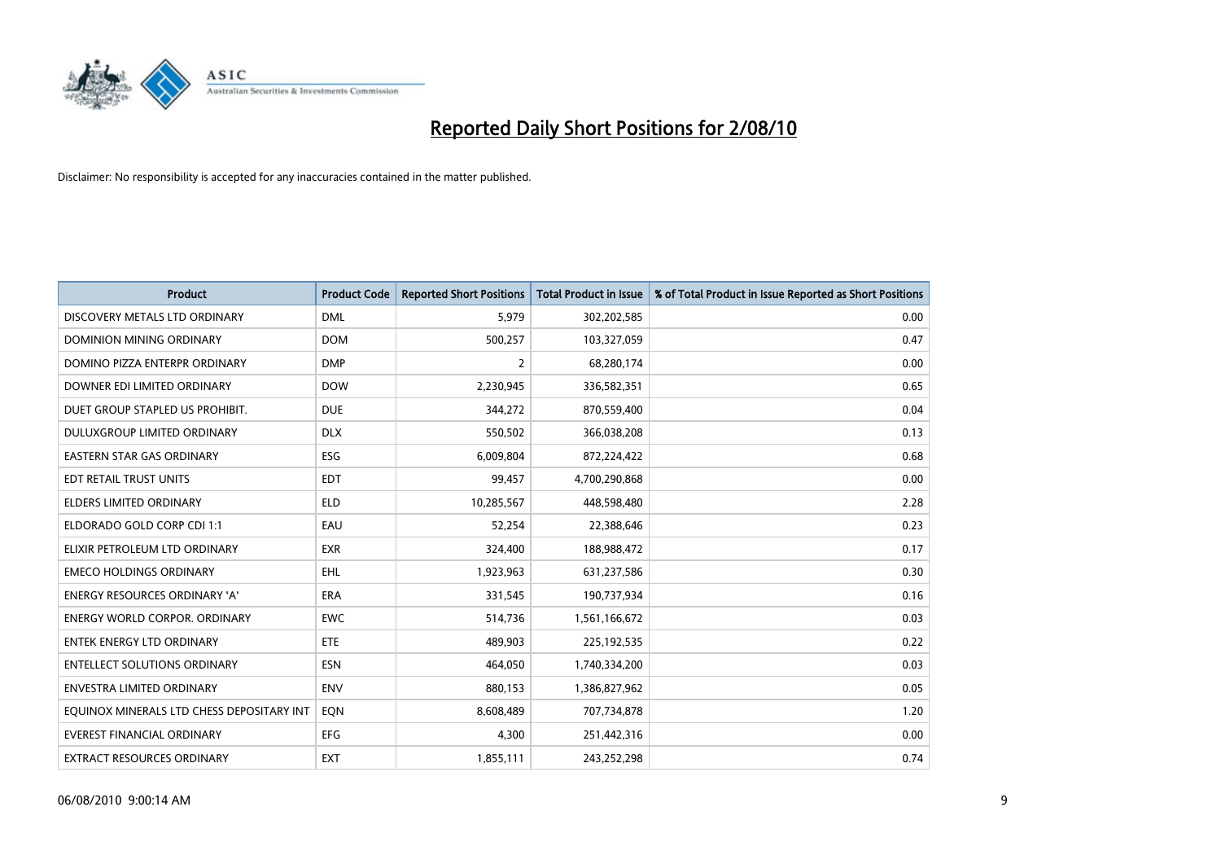

| <b>Product</b>                            | <b>Product Code</b> | <b>Reported Short Positions</b> | Total Product in Issue | % of Total Product in Issue Reported as Short Positions |
|-------------------------------------------|---------------------|---------------------------------|------------------------|---------------------------------------------------------|
| DISCOVERY METALS LTD ORDINARY             | <b>DML</b>          | 5,979                           | 302,202,585            | 0.00                                                    |
| DOMINION MINING ORDINARY                  | <b>DOM</b>          | 500,257                         | 103,327,059            | 0.47                                                    |
| DOMINO PIZZA ENTERPR ORDINARY             | <b>DMP</b>          | $\overline{2}$                  | 68,280,174             | 0.00                                                    |
| DOWNER EDI LIMITED ORDINARY               | <b>DOW</b>          | 2,230,945                       | 336,582,351            | 0.65                                                    |
| DUET GROUP STAPLED US PROHIBIT.           | <b>DUE</b>          | 344,272                         | 870,559,400            | 0.04                                                    |
| DULUXGROUP LIMITED ORDINARY               | <b>DLX</b>          | 550,502                         | 366,038,208            | 0.13                                                    |
| <b>EASTERN STAR GAS ORDINARY</b>          | ESG                 | 6,009,804                       | 872,224,422            | 0.68                                                    |
| <b>EDT RETAIL TRUST UNITS</b>             | <b>EDT</b>          | 99,457                          | 4,700,290,868          | 0.00                                                    |
| ELDERS LIMITED ORDINARY                   | <b>ELD</b>          | 10,285,567                      | 448,598,480            | 2.28                                                    |
| ELDORADO GOLD CORP CDI 1:1                | EAU                 | 52,254                          | 22,388,646             | 0.23                                                    |
| ELIXIR PETROLEUM LTD ORDINARY             | <b>EXR</b>          | 324,400                         | 188,988,472            | 0.17                                                    |
| <b>EMECO HOLDINGS ORDINARY</b>            | <b>EHL</b>          | 1,923,963                       | 631,237,586            | 0.30                                                    |
| ENERGY RESOURCES ORDINARY 'A'             | <b>ERA</b>          | 331,545                         | 190,737,934            | 0.16                                                    |
| <b>ENERGY WORLD CORPOR, ORDINARY</b>      | <b>EWC</b>          | 514,736                         | 1,561,166,672          | 0.03                                                    |
| <b>ENTEK ENERGY LTD ORDINARY</b>          | ETE                 | 489,903                         | 225,192,535            | 0.22                                                    |
| <b>ENTELLECT SOLUTIONS ORDINARY</b>       | <b>ESN</b>          | 464,050                         | 1,740,334,200          | 0.03                                                    |
| <b>ENVESTRA LIMITED ORDINARY</b>          | <b>ENV</b>          | 880,153                         | 1,386,827,962          | 0.05                                                    |
| EQUINOX MINERALS LTD CHESS DEPOSITARY INT | EON                 | 8,608,489                       | 707,734,878            | 1.20                                                    |
| <b>EVEREST FINANCIAL ORDINARY</b>         | <b>EFG</b>          | 4,300                           | 251,442,316            | 0.00                                                    |
| <b>EXTRACT RESOURCES ORDINARY</b>         | <b>EXT</b>          | 1,855,111                       | 243,252,298            | 0.74                                                    |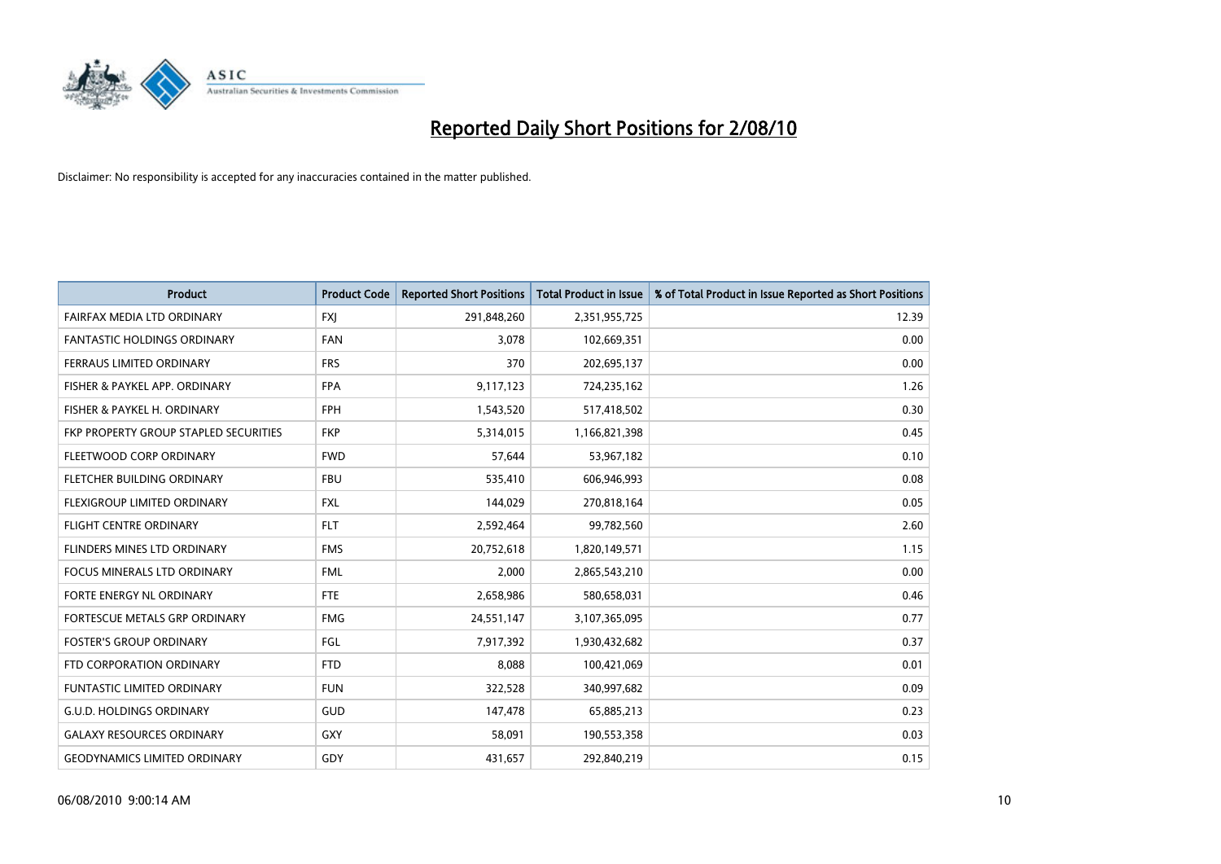

| <b>Product</b>                        | <b>Product Code</b> | <b>Reported Short Positions</b> | <b>Total Product in Issue</b> | % of Total Product in Issue Reported as Short Positions |
|---------------------------------------|---------------------|---------------------------------|-------------------------------|---------------------------------------------------------|
| FAIRFAX MEDIA LTD ORDINARY            | <b>FXJ</b>          | 291,848,260                     | 2,351,955,725                 | 12.39                                                   |
| FANTASTIC HOLDINGS ORDINARY           | <b>FAN</b>          | 3,078                           | 102,669,351                   | 0.00                                                    |
| <b>FERRAUS LIMITED ORDINARY</b>       | <b>FRS</b>          | 370                             | 202,695,137                   | 0.00                                                    |
| FISHER & PAYKEL APP. ORDINARY         | <b>FPA</b>          | 9,117,123                       | 724,235,162                   | 1.26                                                    |
| FISHER & PAYKEL H. ORDINARY           | <b>FPH</b>          | 1,543,520                       | 517,418,502                   | 0.30                                                    |
| FKP PROPERTY GROUP STAPLED SECURITIES | <b>FKP</b>          | 5,314,015                       | 1,166,821,398                 | 0.45                                                    |
| FLEETWOOD CORP ORDINARY               | <b>FWD</b>          | 57.644                          | 53,967,182                    | 0.10                                                    |
| <b>FLETCHER BUILDING ORDINARY</b>     | <b>FBU</b>          | 535,410                         | 606,946,993                   | 0.08                                                    |
| FLEXIGROUP LIMITED ORDINARY           | <b>FXL</b>          | 144,029                         | 270,818,164                   | 0.05                                                    |
| <b>FLIGHT CENTRE ORDINARY</b>         | <b>FLT</b>          | 2,592,464                       | 99,782,560                    | 2.60                                                    |
| FLINDERS MINES LTD ORDINARY           | <b>FMS</b>          | 20,752,618                      | 1,820,149,571                 | 1.15                                                    |
| <b>FOCUS MINERALS LTD ORDINARY</b>    | <b>FML</b>          | 2,000                           | 2,865,543,210                 | 0.00                                                    |
| FORTE ENERGY NL ORDINARY              | <b>FTE</b>          | 2,658,986                       | 580,658,031                   | 0.46                                                    |
| FORTESCUE METALS GRP ORDINARY         | <b>FMG</b>          | 24,551,147                      | 3,107,365,095                 | 0.77                                                    |
| <b>FOSTER'S GROUP ORDINARY</b>        | FGL                 | 7,917,392                       | 1,930,432,682                 | 0.37                                                    |
| FTD CORPORATION ORDINARY              | <b>FTD</b>          | 8,088                           | 100,421,069                   | 0.01                                                    |
| <b>FUNTASTIC LIMITED ORDINARY</b>     | <b>FUN</b>          | 322,528                         | 340,997,682                   | 0.09                                                    |
| <b>G.U.D. HOLDINGS ORDINARY</b>       | <b>GUD</b>          | 147,478                         | 65,885,213                    | 0.23                                                    |
| <b>GALAXY RESOURCES ORDINARY</b>      | <b>GXY</b>          | 58,091                          | 190,553,358                   | 0.03                                                    |
| <b>GEODYNAMICS LIMITED ORDINARY</b>   | GDY                 | 431.657                         | 292,840,219                   | 0.15                                                    |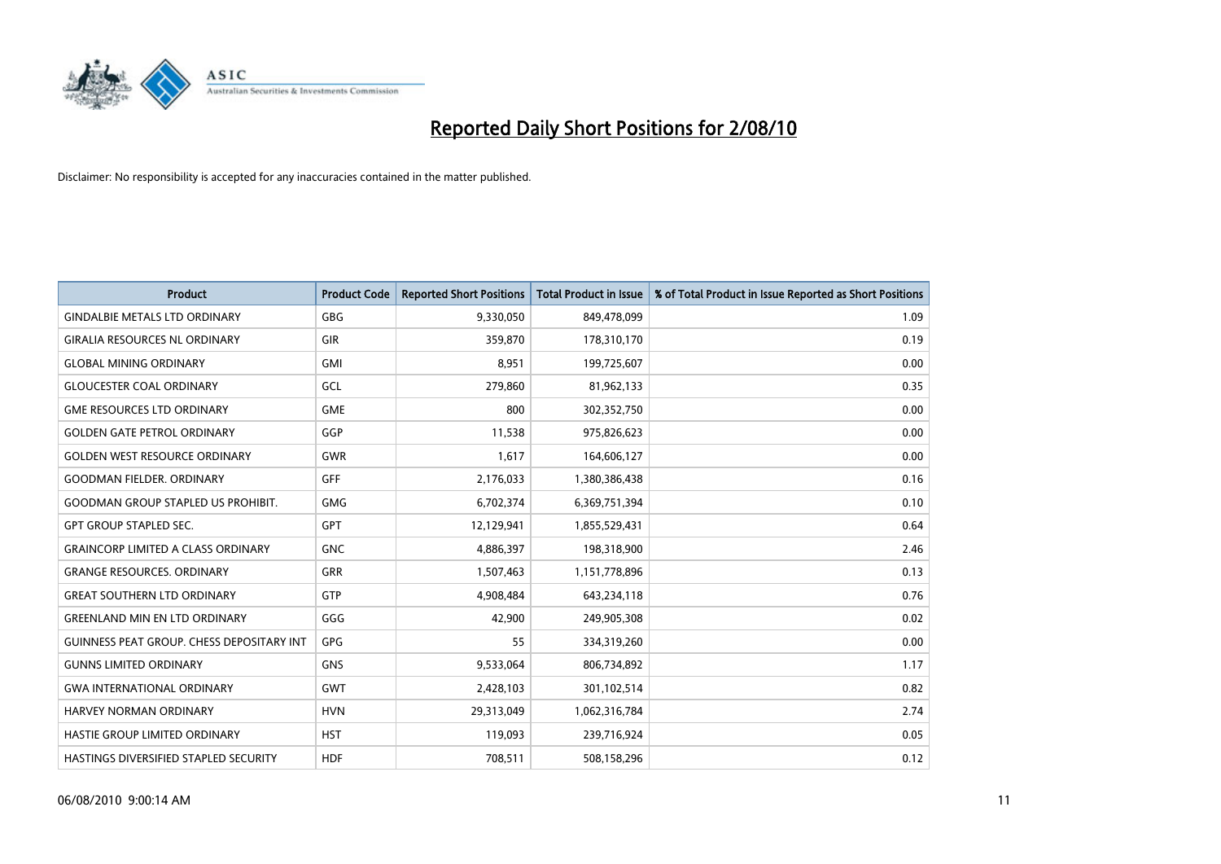

| <b>Product</b>                               | <b>Product Code</b> | <b>Reported Short Positions</b> | <b>Total Product in Issue</b> | % of Total Product in Issue Reported as Short Positions |
|----------------------------------------------|---------------------|---------------------------------|-------------------------------|---------------------------------------------------------|
| <b>GINDALBIE METALS LTD ORDINARY</b>         | <b>GBG</b>          | 9,330,050                       | 849,478,099                   | 1.09                                                    |
| <b>GIRALIA RESOURCES NL ORDINARY</b>         | GIR                 | 359,870                         | 178,310,170                   | 0.19                                                    |
| <b>GLOBAL MINING ORDINARY</b>                | <b>GMI</b>          | 8,951                           | 199,725,607                   | 0.00                                                    |
| <b>GLOUCESTER COAL ORDINARY</b>              | GCL                 | 279,860                         | 81,962,133                    | 0.35                                                    |
| <b>GME RESOURCES LTD ORDINARY</b>            | <b>GME</b>          | 800                             | 302,352,750                   | 0.00                                                    |
| <b>GOLDEN GATE PETROL ORDINARY</b>           | GGP                 | 11,538                          | 975,826,623                   | 0.00                                                    |
| <b>GOLDEN WEST RESOURCE ORDINARY</b>         | <b>GWR</b>          | 1,617                           | 164,606,127                   | 0.00                                                    |
| <b>GOODMAN FIELDER, ORDINARY</b>             | GFF                 | 2,176,033                       | 1,380,386,438                 | 0.16                                                    |
| <b>GOODMAN GROUP STAPLED US PROHIBIT.</b>    | <b>GMG</b>          | 6,702,374                       | 6,369,751,394                 | 0.10                                                    |
| <b>GPT GROUP STAPLED SEC.</b>                | <b>GPT</b>          | 12,129,941                      | 1,855,529,431                 | 0.64                                                    |
| <b>GRAINCORP LIMITED A CLASS ORDINARY</b>    | <b>GNC</b>          | 4,886,397                       | 198,318,900                   | 2.46                                                    |
| <b>GRANGE RESOURCES, ORDINARY</b>            | <b>GRR</b>          | 1,507,463                       | 1,151,778,896                 | 0.13                                                    |
| <b>GREAT SOUTHERN LTD ORDINARY</b>           | <b>GTP</b>          | 4,908,484                       | 643,234,118                   | 0.76                                                    |
| <b>GREENLAND MIN EN LTD ORDINARY</b>         | GGG                 | 42,900                          | 249,905,308                   | 0.02                                                    |
| GUINNESS PEAT GROUP. CHESS DEPOSITARY INT    | GPG                 | 55                              | 334,319,260                   | 0.00                                                    |
| <b>GUNNS LIMITED ORDINARY</b>                | <b>GNS</b>          | 9,533,064                       | 806,734,892                   | 1.17                                                    |
| <b>GWA INTERNATIONAL ORDINARY</b>            | <b>GWT</b>          | 2,428,103                       | 301,102,514                   | 0.82                                                    |
| <b>HARVEY NORMAN ORDINARY</b>                | <b>HVN</b>          | 29,313,049                      | 1,062,316,784                 | 2.74                                                    |
| HASTIE GROUP LIMITED ORDINARY                | <b>HST</b>          | 119,093                         | 239,716,924                   | 0.05                                                    |
| <b>HASTINGS DIVERSIFIED STAPLED SECURITY</b> | <b>HDF</b>          | 708,511                         | 508,158,296                   | 0.12                                                    |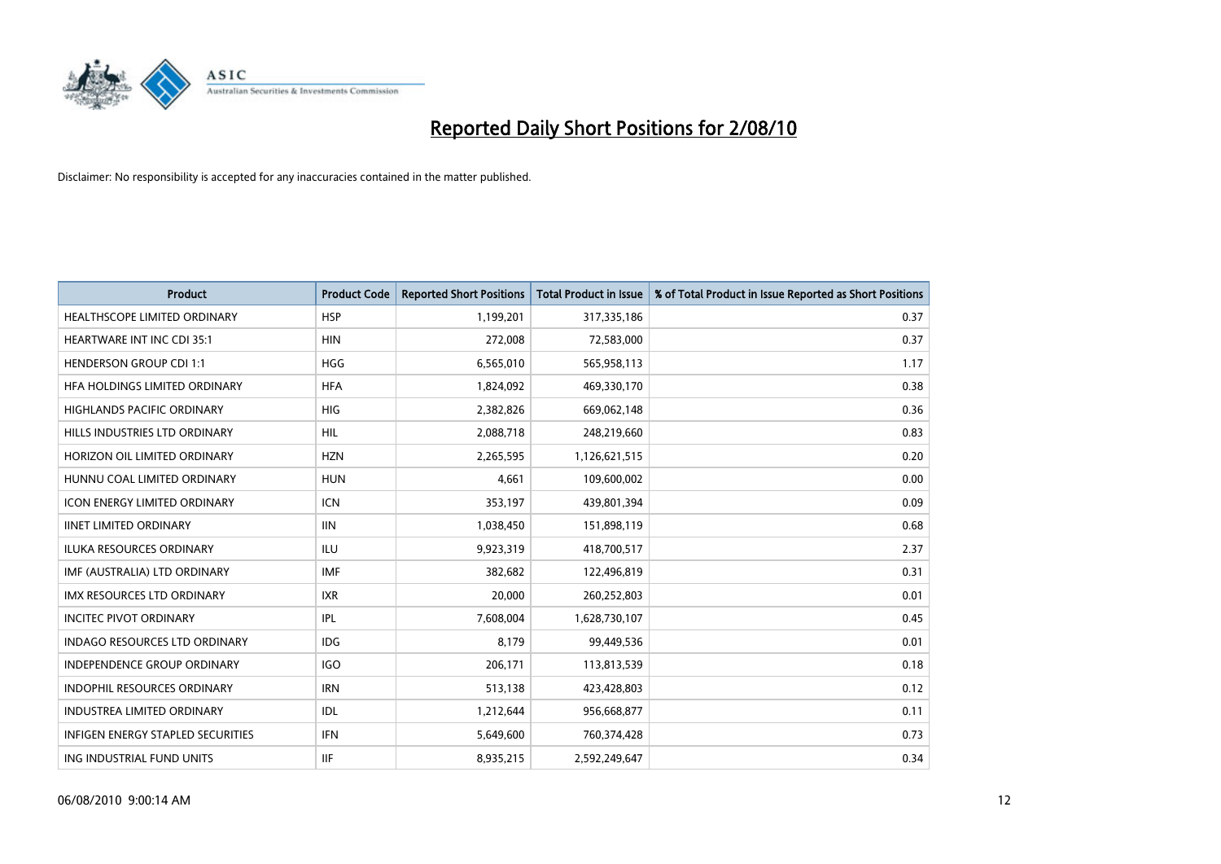

| <b>Product</b>                           | <b>Product Code</b> | <b>Reported Short Positions</b> | Total Product in Issue | % of Total Product in Issue Reported as Short Positions |
|------------------------------------------|---------------------|---------------------------------|------------------------|---------------------------------------------------------|
| <b>HEALTHSCOPE LIMITED ORDINARY</b>      | <b>HSP</b>          | 1,199,201                       | 317,335,186            | 0.37                                                    |
| HEARTWARE INT INC CDI 35:1               | <b>HIN</b>          | 272,008                         | 72,583,000             | 0.37                                                    |
| <b>HENDERSON GROUP CDI 1:1</b>           | <b>HGG</b>          | 6,565,010                       | 565,958,113            | 1.17                                                    |
| HFA HOLDINGS LIMITED ORDINARY            | <b>HFA</b>          | 1,824,092                       | 469,330,170            | 0.38                                                    |
| <b>HIGHLANDS PACIFIC ORDINARY</b>        | <b>HIG</b>          | 2,382,826                       | 669,062,148            | 0.36                                                    |
| HILLS INDUSTRIES LTD ORDINARY            | <b>HIL</b>          | 2,088,718                       | 248,219,660            | 0.83                                                    |
| HORIZON OIL LIMITED ORDINARY             | <b>HZN</b>          | 2,265,595                       | 1,126,621,515          | 0.20                                                    |
| HUNNU COAL LIMITED ORDINARY              | <b>HUN</b>          | 4,661                           | 109,600,002            | 0.00                                                    |
| ICON ENERGY LIMITED ORDINARY             | <b>ICN</b>          | 353,197                         | 439,801,394            | 0.09                                                    |
| <b>IINET LIMITED ORDINARY</b>            | <b>IIN</b>          | 1,038,450                       | 151,898,119            | 0.68                                                    |
| ILUKA RESOURCES ORDINARY                 | <b>ILU</b>          | 9,923,319                       | 418,700,517            | 2.37                                                    |
| IMF (AUSTRALIA) LTD ORDINARY             | <b>IMF</b>          | 382,682                         | 122,496,819            | 0.31                                                    |
| IMX RESOURCES LTD ORDINARY               | <b>IXR</b>          | 20,000                          | 260,252,803            | 0.01                                                    |
| <b>INCITEC PIVOT ORDINARY</b>            | <b>IPL</b>          | 7,608,004                       | 1,628,730,107          | 0.45                                                    |
| <b>INDAGO RESOURCES LTD ORDINARY</b>     | <b>IDG</b>          | 8,179                           | 99,449,536             | 0.01                                                    |
| INDEPENDENCE GROUP ORDINARY              | <b>IGO</b>          | 206,171                         | 113,813,539            | 0.18                                                    |
| <b>INDOPHIL RESOURCES ORDINARY</b>       | <b>IRN</b>          | 513,138                         | 423,428,803            | 0.12                                                    |
| <b>INDUSTREA LIMITED ORDINARY</b>        | <b>IDL</b>          | 1,212,644                       | 956,668,877            | 0.11                                                    |
| <b>INFIGEN ENERGY STAPLED SECURITIES</b> | <b>IFN</b>          | 5,649,600                       | 760,374,428            | 0.73                                                    |
| ING INDUSTRIAL FUND UNITS                | <b>IIF</b>          | 8,935,215                       | 2,592,249,647          | 0.34                                                    |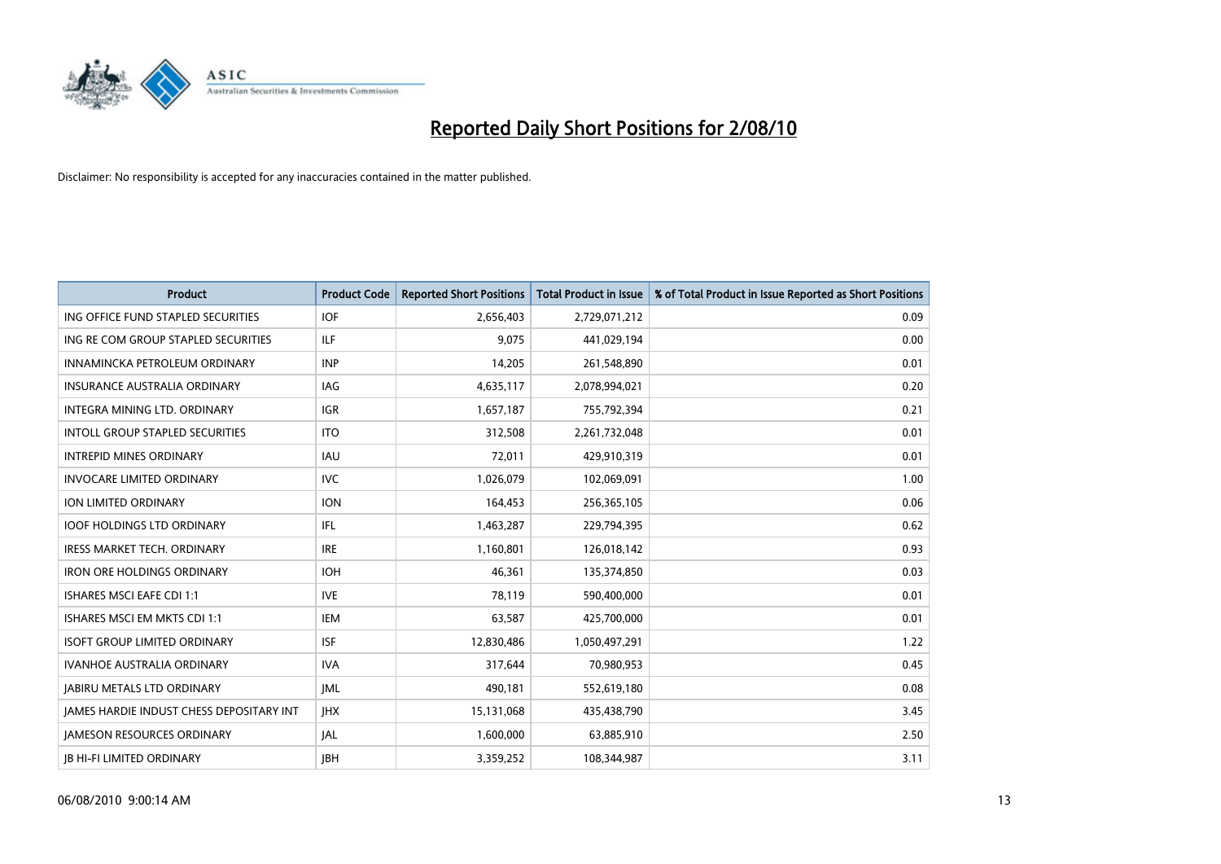

| <b>Product</b>                                  | <b>Product Code</b> | <b>Reported Short Positions</b> | Total Product in Issue | % of Total Product in Issue Reported as Short Positions |
|-------------------------------------------------|---------------------|---------------------------------|------------------------|---------------------------------------------------------|
| ING OFFICE FUND STAPLED SECURITIES              | <b>IOF</b>          | 2,656,403                       | 2,729,071,212          | 0.09                                                    |
| ING RE COM GROUP STAPLED SECURITIES             | <b>ILF</b>          | 9.075                           | 441,029,194            | 0.00                                                    |
| INNAMINCKA PETROLEUM ORDINARY                   | <b>INP</b>          | 14,205                          | 261,548,890            | 0.01                                                    |
| INSURANCE AUSTRALIA ORDINARY                    | IAG                 | 4,635,117                       | 2,078,994,021          | 0.20                                                    |
| <b>INTEGRA MINING LTD, ORDINARY</b>             | <b>IGR</b>          | 1,657,187                       | 755,792,394            | 0.21                                                    |
| <b>INTOLL GROUP STAPLED SECURITIES</b>          | <b>ITO</b>          | 312,508                         | 2,261,732,048          | 0.01                                                    |
| <b>INTREPID MINES ORDINARY</b>                  | <b>IAU</b>          | 72.011                          | 429,910,319            | 0.01                                                    |
| <b>INVOCARE LIMITED ORDINARY</b>                | <b>IVC</b>          | 1,026,079                       | 102,069,091            | 1.00                                                    |
| ION LIMITED ORDINARY                            | <b>ION</b>          | 164,453                         | 256,365,105            | 0.06                                                    |
| <b>IOOF HOLDINGS LTD ORDINARY</b>               | IFL.                | 1,463,287                       | 229,794,395            | 0.62                                                    |
| <b>IRESS MARKET TECH. ORDINARY</b>              | <b>IRE</b>          | 1,160,801                       | 126,018,142            | 0.93                                                    |
| <b>IRON ORE HOLDINGS ORDINARY</b>               | <b>IOH</b>          | 46,361                          | 135,374,850            | 0.03                                                    |
| <b>ISHARES MSCI EAFE CDI 1:1</b>                | <b>IVE</b>          | 78.119                          | 590,400,000            | 0.01                                                    |
| ISHARES MSCI EM MKTS CDI 1:1                    | <b>IEM</b>          | 63,587                          | 425,700,000            | 0.01                                                    |
| <b>ISOFT GROUP LIMITED ORDINARY</b>             | <b>ISF</b>          | 12,830,486                      | 1,050,497,291          | 1.22                                                    |
| <b>IVANHOE AUSTRALIA ORDINARY</b>               | <b>IVA</b>          | 317,644                         | 70,980,953             | 0.45                                                    |
| <b>JABIRU METALS LTD ORDINARY</b>               | <b>JML</b>          | 490,181                         | 552,619,180            | 0.08                                                    |
| <b>JAMES HARDIE INDUST CHESS DEPOSITARY INT</b> | <b>IHX</b>          | 15,131,068                      | 435,438,790            | 3.45                                                    |
| <b>IAMESON RESOURCES ORDINARY</b>               | <b>JAL</b>          | 1,600,000                       | 63,885,910             | 2.50                                                    |
| <b>IB HI-FI LIMITED ORDINARY</b>                | <b>IBH</b>          | 3.359.252                       | 108,344,987            | 3.11                                                    |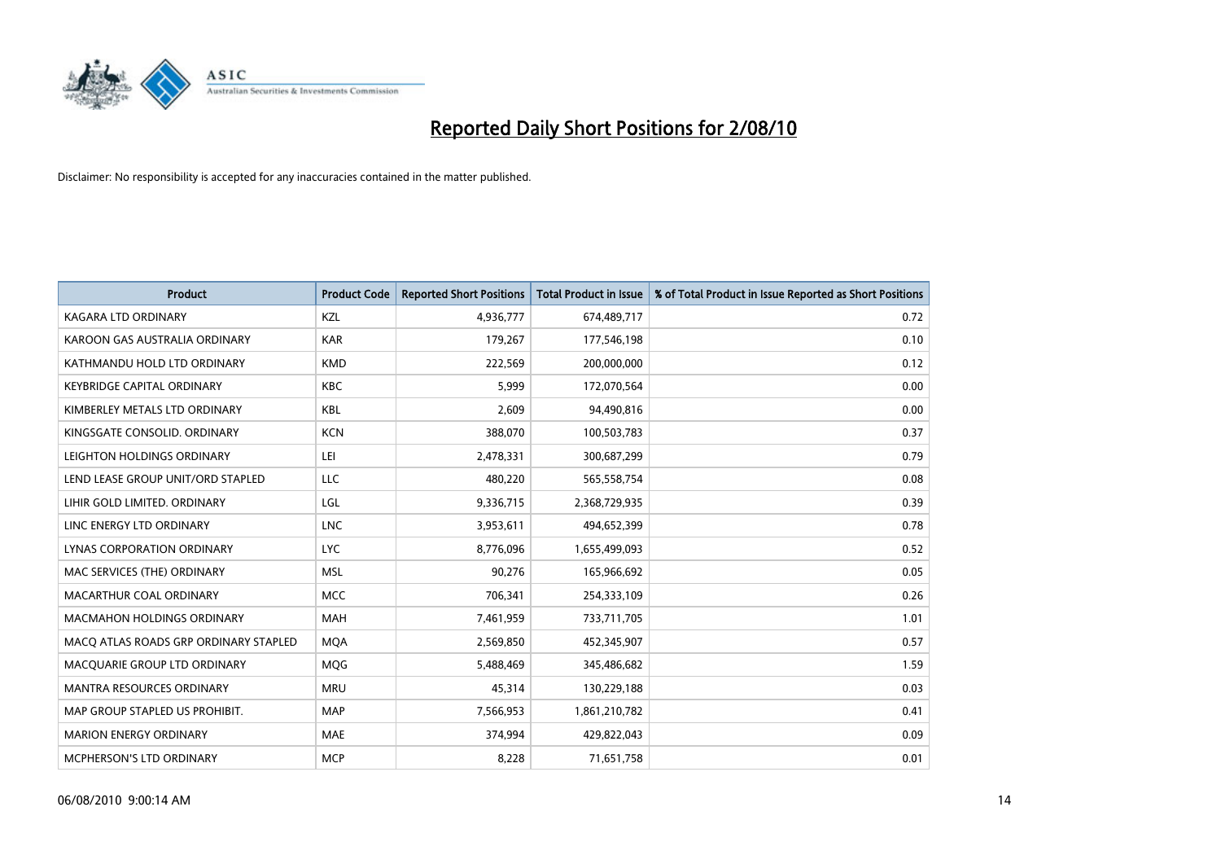

| <b>Product</b>                        | <b>Product Code</b> | <b>Reported Short Positions</b> | Total Product in Issue | % of Total Product in Issue Reported as Short Positions |
|---------------------------------------|---------------------|---------------------------------|------------------------|---------------------------------------------------------|
| <b>KAGARA LTD ORDINARY</b>            | KZL                 | 4,936,777                       | 674,489,717            | 0.72                                                    |
| KAROON GAS AUSTRALIA ORDINARY         | <b>KAR</b>          | 179,267                         | 177,546,198            | 0.10                                                    |
| KATHMANDU HOLD LTD ORDINARY           | <b>KMD</b>          | 222,569                         | 200,000,000            | 0.12                                                    |
| <b>KEYBRIDGE CAPITAL ORDINARY</b>     | <b>KBC</b>          | 5,999                           | 172,070,564            | 0.00                                                    |
| KIMBERLEY METALS LTD ORDINARY         | <b>KBL</b>          | 2.609                           | 94,490,816             | 0.00                                                    |
| KINGSGATE CONSOLID, ORDINARY          | <b>KCN</b>          | 388,070                         | 100,503,783            | 0.37                                                    |
| LEIGHTON HOLDINGS ORDINARY            | LEI                 | 2,478,331                       | 300,687,299            | 0.79                                                    |
| LEND LEASE GROUP UNIT/ORD STAPLED     | LLC                 | 480,220                         | 565,558,754            | 0.08                                                    |
| LIHIR GOLD LIMITED. ORDINARY          | LGL                 | 9,336,715                       | 2,368,729,935          | 0.39                                                    |
| LINC ENERGY LTD ORDINARY              | <b>LNC</b>          | 3,953,611                       | 494,652,399            | 0.78                                                    |
| LYNAS CORPORATION ORDINARY            | <b>LYC</b>          | 8,776,096                       | 1,655,499,093          | 0.52                                                    |
| MAC SERVICES (THE) ORDINARY           | <b>MSL</b>          | 90,276                          | 165,966,692            | 0.05                                                    |
| MACARTHUR COAL ORDINARY               | <b>MCC</b>          | 706.341                         | 254,333,109            | 0.26                                                    |
| <b>MACMAHON HOLDINGS ORDINARY</b>     | <b>MAH</b>          | 7,461,959                       | 733,711,705            | 1.01                                                    |
| MACO ATLAS ROADS GRP ORDINARY STAPLED | <b>MOA</b>          | 2,569,850                       | 452,345,907            | 0.57                                                    |
| MACQUARIE GROUP LTD ORDINARY          | <b>MOG</b>          | 5,488,469                       | 345,486,682            | 1.59                                                    |
| <b>MANTRA RESOURCES ORDINARY</b>      | <b>MRU</b>          | 45,314                          | 130,229,188            | 0.03                                                    |
| MAP GROUP STAPLED US PROHIBIT.        | <b>MAP</b>          | 7,566,953                       | 1,861,210,782          | 0.41                                                    |
| <b>MARION ENERGY ORDINARY</b>         | <b>MAE</b>          | 374,994                         | 429,822,043            | 0.09                                                    |
| <b>MCPHERSON'S LTD ORDINARY</b>       | <b>MCP</b>          | 8.228                           | 71,651,758             | 0.01                                                    |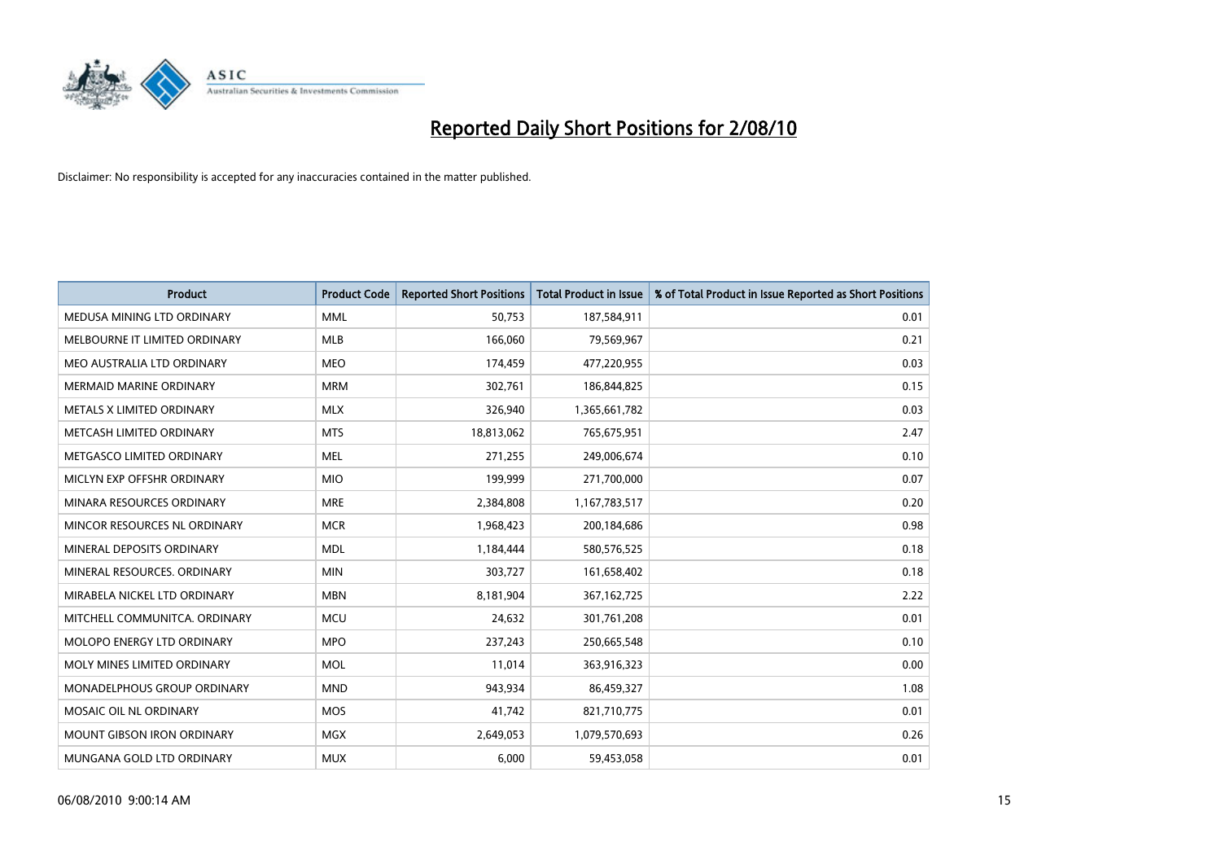

| <b>Product</b>                    | <b>Product Code</b> | <b>Reported Short Positions</b> | Total Product in Issue | % of Total Product in Issue Reported as Short Positions |
|-----------------------------------|---------------------|---------------------------------|------------------------|---------------------------------------------------------|
| MEDUSA MINING LTD ORDINARY        | <b>MML</b>          | 50,753                          | 187,584,911            | 0.01                                                    |
| MELBOURNE IT LIMITED ORDINARY     | MLB                 | 166,060                         | 79,569,967             | 0.21                                                    |
| MEO AUSTRALIA LTD ORDINARY        | <b>MEO</b>          | 174,459                         | 477,220,955            | 0.03                                                    |
| MERMAID MARINE ORDINARY           | <b>MRM</b>          | 302,761                         | 186,844,825            | 0.15                                                    |
| METALS X LIMITED ORDINARY         | <b>MLX</b>          | 326,940                         | 1,365,661,782          | 0.03                                                    |
| METCASH LIMITED ORDINARY          | <b>MTS</b>          | 18,813,062                      | 765,675,951            | 2.47                                                    |
| METGASCO LIMITED ORDINARY         | <b>MEL</b>          | 271,255                         | 249,006,674            | 0.10                                                    |
| MICLYN EXP OFFSHR ORDINARY        | <b>MIO</b>          | 199,999                         | 271,700,000            | 0.07                                                    |
| MINARA RESOURCES ORDINARY         | <b>MRE</b>          | 2,384,808                       | 1,167,783,517          | 0.20                                                    |
| MINCOR RESOURCES NL ORDINARY      | <b>MCR</b>          | 1,968,423                       | 200,184,686            | 0.98                                                    |
| MINERAL DEPOSITS ORDINARY         | <b>MDL</b>          | 1,184,444                       | 580,576,525            | 0.18                                                    |
| MINERAL RESOURCES, ORDINARY       | <b>MIN</b>          | 303,727                         | 161,658,402            | 0.18                                                    |
| MIRABELA NICKEL LTD ORDINARY      | <b>MBN</b>          | 8,181,904                       | 367, 162, 725          | 2.22                                                    |
| MITCHELL COMMUNITCA. ORDINARY     | <b>MCU</b>          | 24,632                          | 301,761,208            | 0.01                                                    |
| MOLOPO ENERGY LTD ORDINARY        | <b>MPO</b>          | 237,243                         | 250,665,548            | 0.10                                                    |
| MOLY MINES LIMITED ORDINARY       | <b>MOL</b>          | 11,014                          | 363,916,323            | 0.00                                                    |
| MONADELPHOUS GROUP ORDINARY       | <b>MND</b>          | 943,934                         | 86,459,327             | 1.08                                                    |
| MOSAIC OIL NL ORDINARY            | <b>MOS</b>          | 41,742                          | 821,710,775            | 0.01                                                    |
| <b>MOUNT GIBSON IRON ORDINARY</b> | <b>MGX</b>          | 2,649,053                       | 1,079,570,693          | 0.26                                                    |
| MUNGANA GOLD LTD ORDINARY         | <b>MUX</b>          | 6,000                           | 59,453,058             | 0.01                                                    |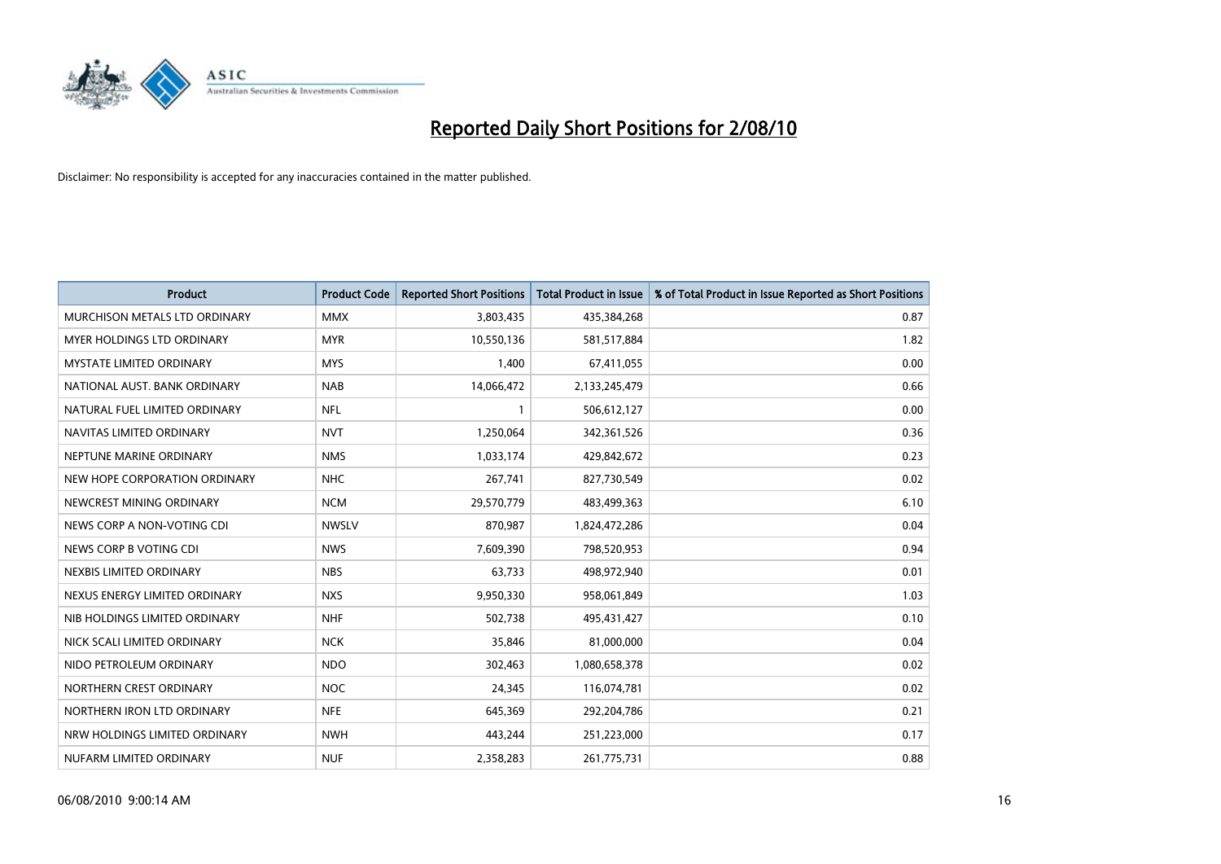

| <b>Product</b>                  | <b>Product Code</b> | <b>Reported Short Positions</b> | <b>Total Product in Issue</b> | % of Total Product in Issue Reported as Short Positions |
|---------------------------------|---------------------|---------------------------------|-------------------------------|---------------------------------------------------------|
| MURCHISON METALS LTD ORDINARY   | <b>MMX</b>          | 3,803,435                       | 435,384,268                   | 0.87                                                    |
| MYER HOLDINGS LTD ORDINARY      | <b>MYR</b>          | 10,550,136                      | 581,517,884                   | 1.82                                                    |
| <b>MYSTATE LIMITED ORDINARY</b> | <b>MYS</b>          | 1,400                           | 67,411,055                    | 0.00                                                    |
| NATIONAL AUST. BANK ORDINARY    | <b>NAB</b>          | 14,066,472                      | 2,133,245,479                 | 0.66                                                    |
| NATURAL FUEL LIMITED ORDINARY   | <b>NFL</b>          |                                 | 506,612,127                   | 0.00                                                    |
| NAVITAS LIMITED ORDINARY        | <b>NVT</b>          | 1,250,064                       | 342,361,526                   | 0.36                                                    |
| NEPTUNE MARINE ORDINARY         | <b>NMS</b>          | 1,033,174                       | 429,842,672                   | 0.23                                                    |
| NEW HOPE CORPORATION ORDINARY   | <b>NHC</b>          | 267,741                         | 827,730,549                   | 0.02                                                    |
| NEWCREST MINING ORDINARY        | <b>NCM</b>          | 29,570,779                      | 483,499,363                   | 6.10                                                    |
| NEWS CORP A NON-VOTING CDI      | <b>NWSLV</b>        | 870,987                         | 1,824,472,286                 | 0.04                                                    |
| NEWS CORP B VOTING CDI          | <b>NWS</b>          | 7,609,390                       | 798,520,953                   | 0.94                                                    |
| NEXBIS LIMITED ORDINARY         | <b>NBS</b>          | 63,733                          | 498,972,940                   | 0.01                                                    |
| NEXUS ENERGY LIMITED ORDINARY   | <b>NXS</b>          | 9,950,330                       | 958,061,849                   | 1.03                                                    |
| NIB HOLDINGS LIMITED ORDINARY   | <b>NHF</b>          | 502,738                         | 495,431,427                   | 0.10                                                    |
| NICK SCALI LIMITED ORDINARY     | <b>NCK</b>          | 35,846                          | 81,000,000                    | 0.04                                                    |
| NIDO PETROLEUM ORDINARY         | <b>NDO</b>          | 302,463                         | 1,080,658,378                 | 0.02                                                    |
| NORTHERN CREST ORDINARY         | <b>NOC</b>          | 24,345                          | 116,074,781                   | 0.02                                                    |
| NORTHERN IRON LTD ORDINARY      | <b>NFE</b>          | 645,369                         | 292,204,786                   | 0.21                                                    |
| NRW HOLDINGS LIMITED ORDINARY   | <b>NWH</b>          | 443,244                         | 251,223,000                   | 0.17                                                    |
| NUFARM LIMITED ORDINARY         | <b>NUF</b>          | 2,358,283                       | 261,775,731                   | 0.88                                                    |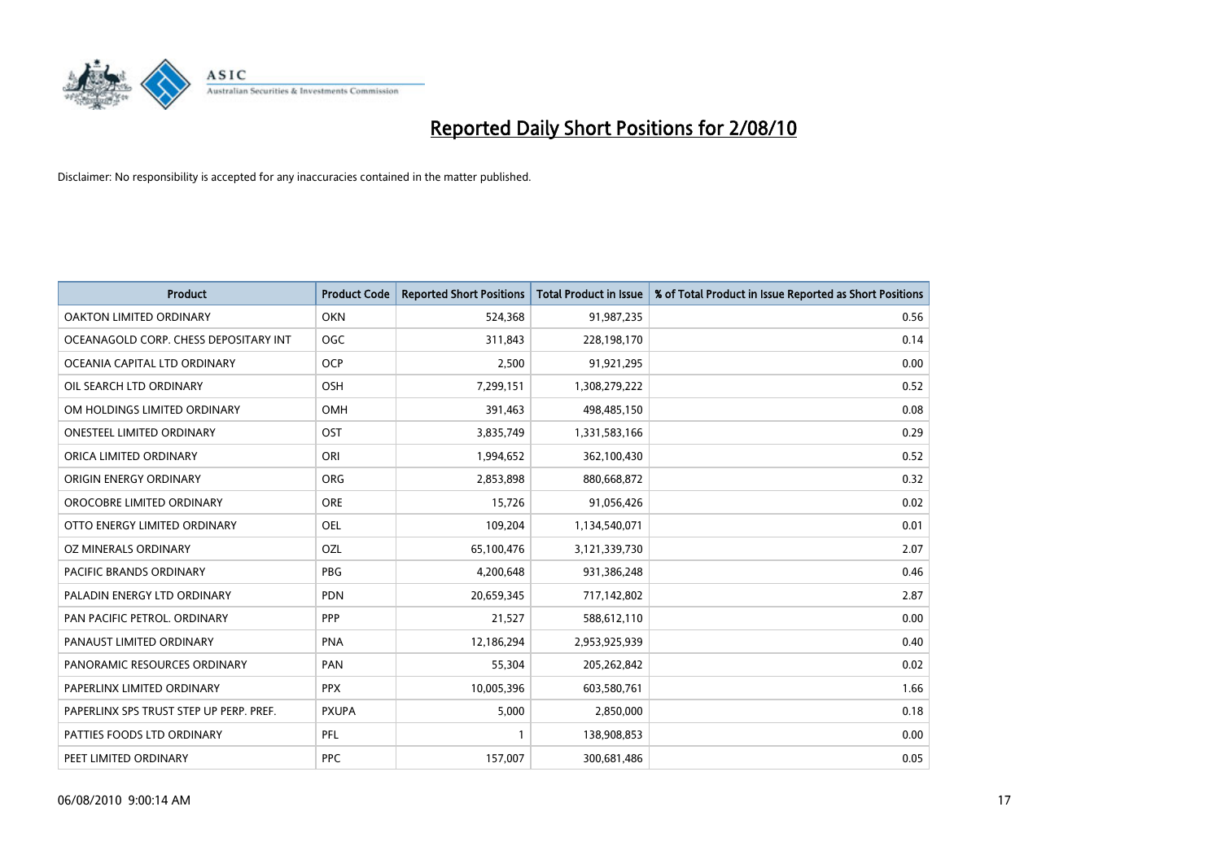

| <b>Product</b>                          | <b>Product Code</b> | <b>Reported Short Positions</b> | <b>Total Product in Issue</b> | % of Total Product in Issue Reported as Short Positions |
|-----------------------------------------|---------------------|---------------------------------|-------------------------------|---------------------------------------------------------|
| OAKTON LIMITED ORDINARY                 | <b>OKN</b>          | 524,368                         | 91,987,235                    | 0.56                                                    |
| OCEANAGOLD CORP. CHESS DEPOSITARY INT   | OGC                 | 311,843                         | 228,198,170                   | 0.14                                                    |
| OCEANIA CAPITAL LTD ORDINARY            | <b>OCP</b>          | 2,500                           | 91,921,295                    | 0.00                                                    |
| OIL SEARCH LTD ORDINARY                 | <b>OSH</b>          | 7,299,151                       | 1,308,279,222                 | 0.52                                                    |
| OM HOLDINGS LIMITED ORDINARY            | <b>OMH</b>          | 391,463                         | 498,485,150                   | 0.08                                                    |
| <b>ONESTEEL LIMITED ORDINARY</b>        | OST                 | 3,835,749                       | 1,331,583,166                 | 0.29                                                    |
| ORICA LIMITED ORDINARY                  | ORI                 | 1,994,652                       | 362,100,430                   | 0.52                                                    |
| ORIGIN ENERGY ORDINARY                  | <b>ORG</b>          | 2,853,898                       | 880,668,872                   | 0.32                                                    |
| OROCOBRE LIMITED ORDINARY               | <b>ORE</b>          | 15,726                          | 91,056,426                    | 0.02                                                    |
| OTTO ENERGY LIMITED ORDINARY            | <b>OEL</b>          | 109,204                         | 1,134,540,071                 | 0.01                                                    |
| OZ MINERALS ORDINARY                    | OZL                 | 65,100,476                      | 3,121,339,730                 | 2.07                                                    |
| PACIFIC BRANDS ORDINARY                 | <b>PBG</b>          | 4,200,648                       | 931,386,248                   | 0.46                                                    |
| PALADIN ENERGY LTD ORDINARY             | <b>PDN</b>          | 20,659,345                      | 717,142,802                   | 2.87                                                    |
| PAN PACIFIC PETROL. ORDINARY            | PPP                 | 21,527                          | 588,612,110                   | 0.00                                                    |
| PANAUST LIMITED ORDINARY                | <b>PNA</b>          | 12,186,294                      | 2,953,925,939                 | 0.40                                                    |
| PANORAMIC RESOURCES ORDINARY            | PAN                 | 55,304                          | 205,262,842                   | 0.02                                                    |
| PAPERLINX LIMITED ORDINARY              | <b>PPX</b>          | 10,005,396                      | 603,580,761                   | 1.66                                                    |
| PAPERLINX SPS TRUST STEP UP PERP. PREF. | <b>PXUPA</b>        | 5,000                           | 2,850,000                     | 0.18                                                    |
| PATTIES FOODS LTD ORDINARY              | PFL                 |                                 | 138,908,853                   | 0.00                                                    |
| PEET LIMITED ORDINARY                   | <b>PPC</b>          | 157,007                         | 300,681,486                   | 0.05                                                    |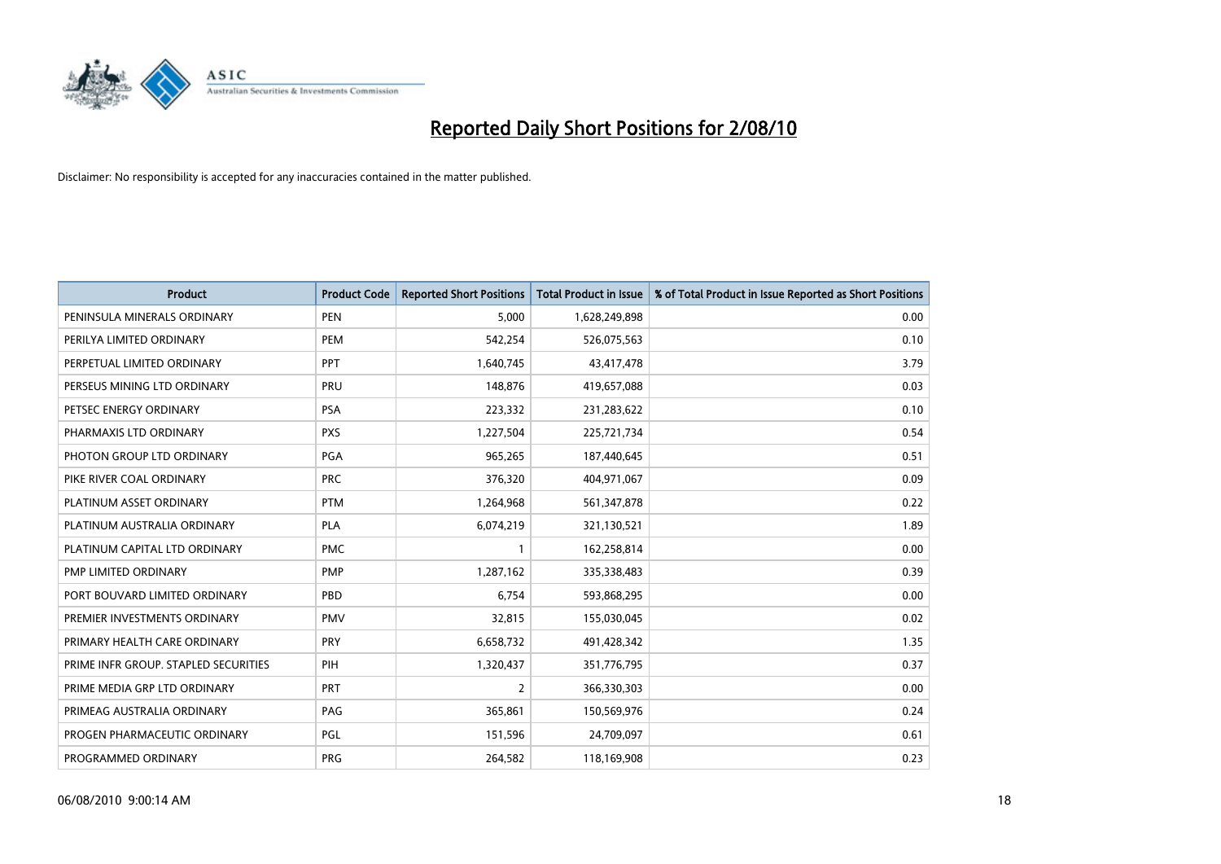

| <b>Product</b>                       | <b>Product Code</b> | <b>Reported Short Positions</b> | <b>Total Product in Issue</b> | % of Total Product in Issue Reported as Short Positions |
|--------------------------------------|---------------------|---------------------------------|-------------------------------|---------------------------------------------------------|
| PENINSULA MINERALS ORDINARY          | <b>PEN</b>          | 5,000                           | 1,628,249,898                 | 0.00                                                    |
| PERILYA LIMITED ORDINARY             | <b>PEM</b>          | 542,254                         | 526,075,563                   | 0.10                                                    |
| PERPETUAL LIMITED ORDINARY           | PPT                 | 1,640,745                       | 43,417,478                    | 3.79                                                    |
| PERSEUS MINING LTD ORDINARY          | PRU                 | 148,876                         | 419,657,088                   | 0.03                                                    |
| PETSEC ENERGY ORDINARY               | <b>PSA</b>          | 223,332                         | 231,283,622                   | 0.10                                                    |
| PHARMAXIS LTD ORDINARY               | <b>PXS</b>          | 1,227,504                       | 225,721,734                   | 0.54                                                    |
| PHOTON GROUP LTD ORDINARY            | PGA                 | 965,265                         | 187,440,645                   | 0.51                                                    |
| PIKE RIVER COAL ORDINARY             | <b>PRC</b>          | 376,320                         | 404,971,067                   | 0.09                                                    |
| PLATINUM ASSET ORDINARY              | <b>PTM</b>          | 1,264,968                       | 561,347,878                   | 0.22                                                    |
| PLATINUM AUSTRALIA ORDINARY          | <b>PLA</b>          | 6,074,219                       | 321,130,521                   | 1.89                                                    |
| PLATINUM CAPITAL LTD ORDINARY        | <b>PMC</b>          |                                 | 162,258,814                   | 0.00                                                    |
| PMP LIMITED ORDINARY                 | <b>PMP</b>          | 1,287,162                       | 335,338,483                   | 0.39                                                    |
| PORT BOUVARD LIMITED ORDINARY        | PBD                 | 6,754                           | 593,868,295                   | 0.00                                                    |
| PREMIER INVESTMENTS ORDINARY         | <b>PMV</b>          | 32,815                          | 155,030,045                   | 0.02                                                    |
| PRIMARY HEALTH CARE ORDINARY         | <b>PRY</b>          | 6,658,732                       | 491,428,342                   | 1.35                                                    |
| PRIME INFR GROUP. STAPLED SECURITIES | PIH                 | 1,320,437                       | 351,776,795                   | 0.37                                                    |
| PRIME MEDIA GRP LTD ORDINARY         | <b>PRT</b>          | $\overline{2}$                  | 366,330,303                   | 0.00                                                    |
| PRIMEAG AUSTRALIA ORDINARY           | PAG                 | 365,861                         | 150,569,976                   | 0.24                                                    |
| PROGEN PHARMACEUTIC ORDINARY         | <b>PGL</b>          | 151,596                         | 24,709,097                    | 0.61                                                    |
| PROGRAMMED ORDINARY                  | <b>PRG</b>          | 264,582                         | 118,169,908                   | 0.23                                                    |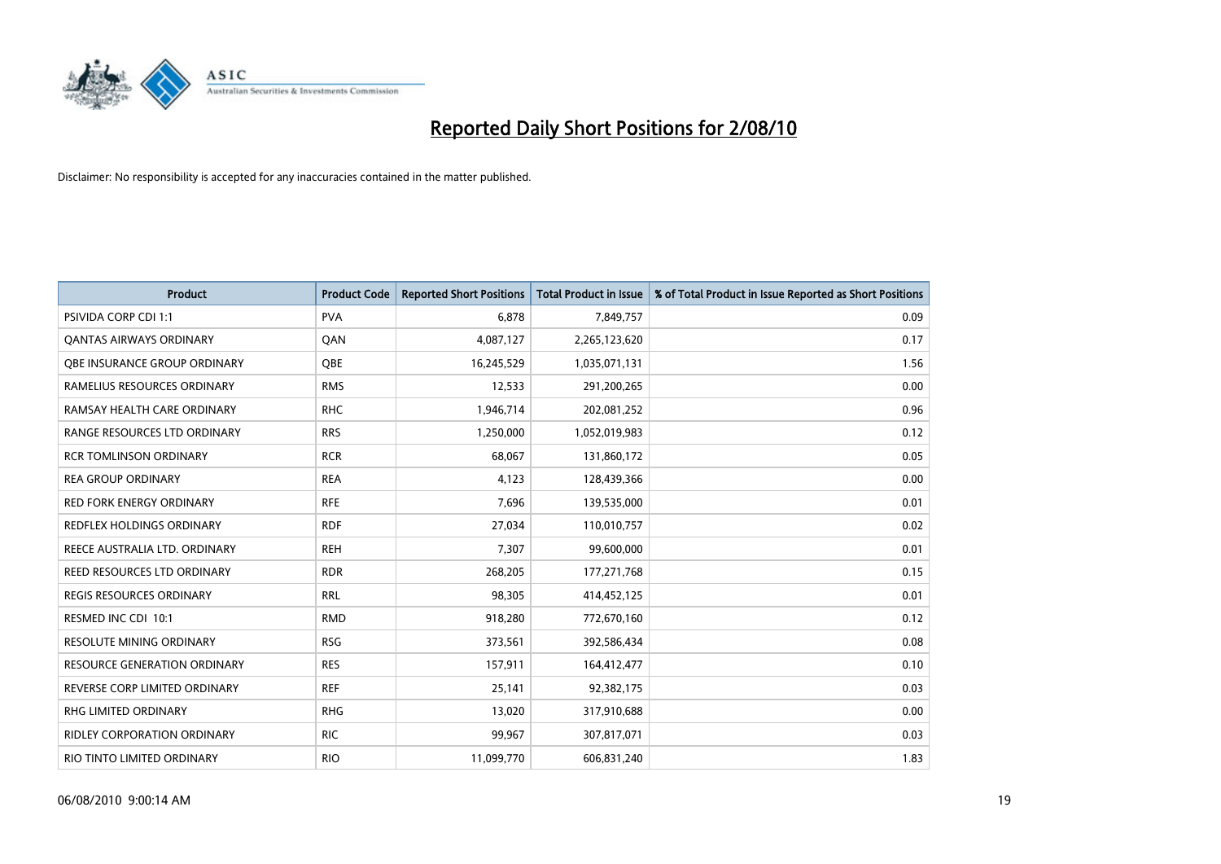

| <b>Product</b>                      | <b>Product Code</b> | <b>Reported Short Positions</b> | Total Product in Issue | % of Total Product in Issue Reported as Short Positions |
|-------------------------------------|---------------------|---------------------------------|------------------------|---------------------------------------------------------|
| <b>PSIVIDA CORP CDI 1:1</b>         | <b>PVA</b>          | 6.878                           | 7,849,757              | 0.09                                                    |
| <b>QANTAS AIRWAYS ORDINARY</b>      | QAN                 | 4,087,127                       | 2,265,123,620          | 0.17                                                    |
| <b>OBE INSURANCE GROUP ORDINARY</b> | OBE                 | 16,245,529                      | 1,035,071,131          | 1.56                                                    |
| RAMELIUS RESOURCES ORDINARY         | <b>RMS</b>          | 12,533                          | 291,200,265            | 0.00                                                    |
| RAMSAY HEALTH CARE ORDINARY         | <b>RHC</b>          | 1,946,714                       | 202,081,252            | 0.96                                                    |
| RANGE RESOURCES LTD ORDINARY        | <b>RRS</b>          | 1,250,000                       | 1,052,019,983          | 0.12                                                    |
| <b>RCR TOMLINSON ORDINARY</b>       | <b>RCR</b>          | 68,067                          | 131,860,172            | 0.05                                                    |
| <b>REA GROUP ORDINARY</b>           | <b>REA</b>          | 4.123                           | 128,439,366            | 0.00                                                    |
| <b>RED FORK ENERGY ORDINARY</b>     | <b>RFE</b>          | 7,696                           | 139,535,000            | 0.01                                                    |
| <b>REDFLEX HOLDINGS ORDINARY</b>    | <b>RDF</b>          | 27,034                          | 110,010,757            | 0.02                                                    |
| REECE AUSTRALIA LTD. ORDINARY       | <b>REH</b>          | 7,307                           | 99,600,000             | 0.01                                                    |
| REED RESOURCES LTD ORDINARY         | <b>RDR</b>          | 268,205                         | 177,271,768            | 0.15                                                    |
| REGIS RESOURCES ORDINARY            | <b>RRL</b>          | 98,305                          | 414,452,125            | 0.01                                                    |
| RESMED INC CDI 10:1                 | <b>RMD</b>          | 918,280                         | 772,670,160            | 0.12                                                    |
| <b>RESOLUTE MINING ORDINARY</b>     | <b>RSG</b>          | 373,561                         | 392,586,434            | 0.08                                                    |
| <b>RESOURCE GENERATION ORDINARY</b> | <b>RES</b>          | 157,911                         | 164,412,477            | 0.10                                                    |
| REVERSE CORP LIMITED ORDINARY       | <b>REF</b>          | 25,141                          | 92,382,175             | 0.03                                                    |
| RHG LIMITED ORDINARY                | <b>RHG</b>          | 13,020                          | 317,910,688            | 0.00                                                    |
| <b>RIDLEY CORPORATION ORDINARY</b>  | <b>RIC</b>          | 99,967                          | 307,817,071            | 0.03                                                    |
| RIO TINTO LIMITED ORDINARY          | <b>RIO</b>          | 11,099,770                      | 606,831,240            | 1.83                                                    |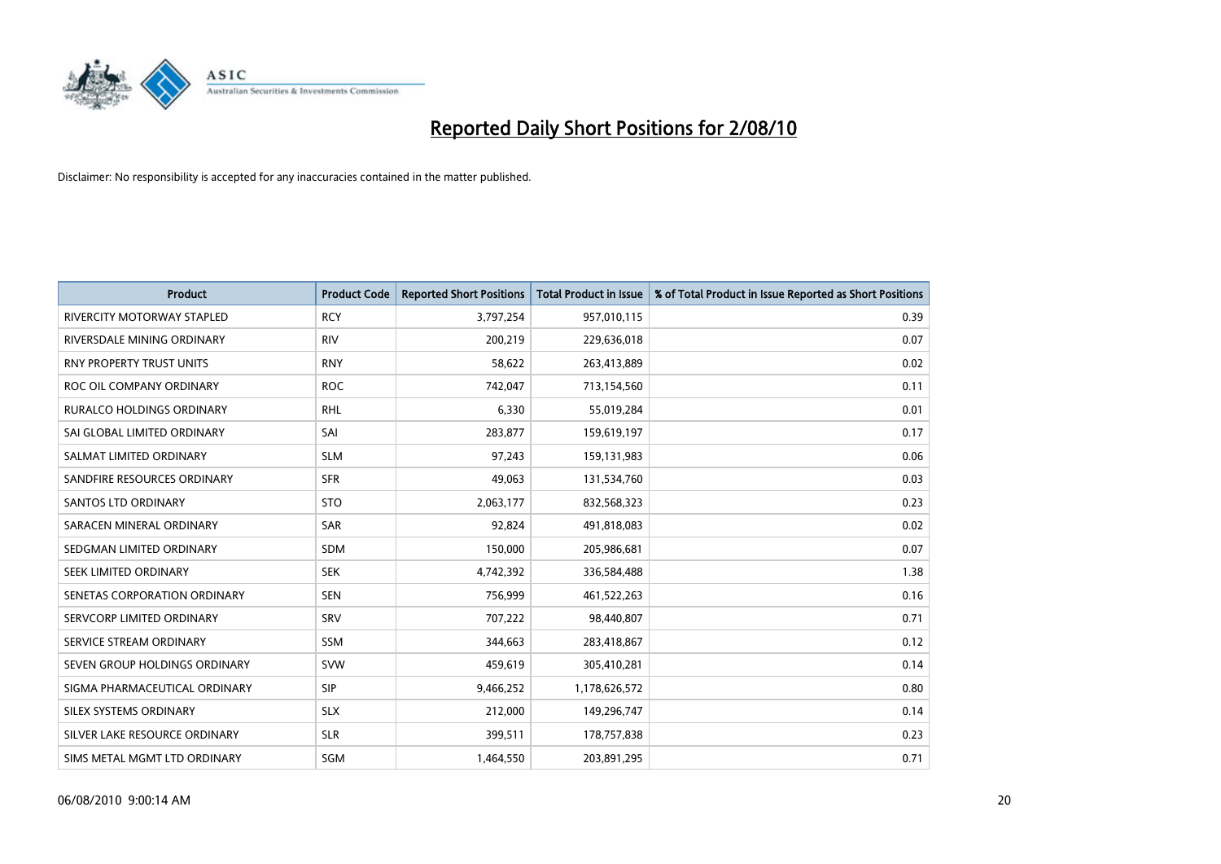

| <b>Product</b>                   | <b>Product Code</b> | <b>Reported Short Positions</b> | Total Product in Issue | % of Total Product in Issue Reported as Short Positions |
|----------------------------------|---------------------|---------------------------------|------------------------|---------------------------------------------------------|
| RIVERCITY MOTORWAY STAPLED       | <b>RCY</b>          | 3,797,254                       | 957,010,115            | 0.39                                                    |
| RIVERSDALE MINING ORDINARY       | <b>RIV</b>          | 200,219                         | 229,636,018            | 0.07                                                    |
| <b>RNY PROPERTY TRUST UNITS</b>  | <b>RNY</b>          | 58,622                          | 263,413,889            | 0.02                                                    |
| ROC OIL COMPANY ORDINARY         | <b>ROC</b>          | 742,047                         | 713,154,560            | 0.11                                                    |
| <b>RURALCO HOLDINGS ORDINARY</b> | <b>RHL</b>          | 6,330                           | 55,019,284             | 0.01                                                    |
| SAI GLOBAL LIMITED ORDINARY      | SAI                 | 283,877                         | 159,619,197            | 0.17                                                    |
| SALMAT LIMITED ORDINARY          | <b>SLM</b>          | 97.243                          | 159,131,983            | 0.06                                                    |
| SANDFIRE RESOURCES ORDINARY      | <b>SFR</b>          | 49,063                          | 131,534,760            | 0.03                                                    |
| SANTOS LTD ORDINARY              | <b>STO</b>          | 2,063,177                       | 832,568,323            | 0.23                                                    |
| SARACEN MINERAL ORDINARY         | <b>SAR</b>          | 92,824                          | 491,818,083            | 0.02                                                    |
| SEDGMAN LIMITED ORDINARY         | <b>SDM</b>          | 150,000                         | 205,986,681            | 0.07                                                    |
| <b>SEEK LIMITED ORDINARY</b>     | <b>SEK</b>          | 4,742,392                       | 336,584,488            | 1.38                                                    |
| SENETAS CORPORATION ORDINARY     | <b>SEN</b>          | 756,999                         | 461,522,263            | 0.16                                                    |
| SERVCORP LIMITED ORDINARY        | SRV                 | 707,222                         | 98,440,807             | 0.71                                                    |
| SERVICE STREAM ORDINARY          | <b>SSM</b>          | 344,663                         | 283,418,867            | 0.12                                                    |
| SEVEN GROUP HOLDINGS ORDINARY    | <b>SVW</b>          | 459,619                         | 305,410,281            | 0.14                                                    |
| SIGMA PHARMACEUTICAL ORDINARY    | SIP                 | 9,466,252                       | 1,178,626,572          | 0.80                                                    |
| SILEX SYSTEMS ORDINARY           | <b>SLX</b>          | 212,000                         | 149,296,747            | 0.14                                                    |
| SILVER LAKE RESOURCE ORDINARY    | <b>SLR</b>          | 399,511                         | 178,757,838            | 0.23                                                    |
| SIMS METAL MGMT LTD ORDINARY     | SGM                 | 1.464.550                       | 203,891,295            | 0.71                                                    |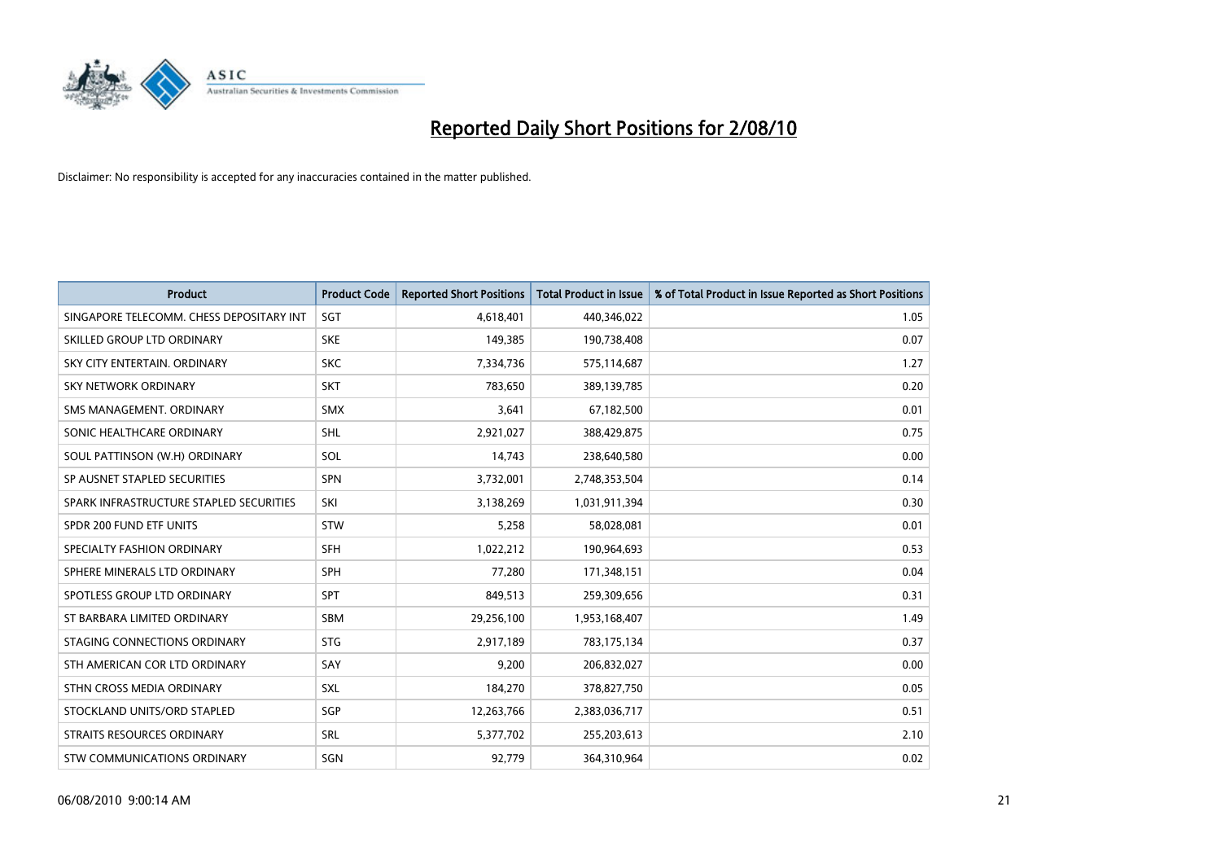

| <b>Product</b>                           | <b>Product Code</b> | <b>Reported Short Positions</b> | <b>Total Product in Issue</b> | % of Total Product in Issue Reported as Short Positions |
|------------------------------------------|---------------------|---------------------------------|-------------------------------|---------------------------------------------------------|
| SINGAPORE TELECOMM. CHESS DEPOSITARY INT | SGT                 | 4,618,401                       | 440,346,022                   | 1.05                                                    |
| SKILLED GROUP LTD ORDINARY               | <b>SKE</b>          | 149,385                         | 190,738,408                   | 0.07                                                    |
| SKY CITY ENTERTAIN, ORDINARY             | <b>SKC</b>          | 7,334,736                       | 575,114,687                   | 1.27                                                    |
| SKY NETWORK ORDINARY                     | <b>SKT</b>          | 783,650                         | 389,139,785                   | 0.20                                                    |
| SMS MANAGEMENT, ORDINARY                 | <b>SMX</b>          | 3,641                           | 67,182,500                    | 0.01                                                    |
| SONIC HEALTHCARE ORDINARY                | SHL                 | 2,921,027                       | 388,429,875                   | 0.75                                                    |
| SOUL PATTINSON (W.H) ORDINARY            | SOL                 | 14,743                          | 238,640,580                   | 0.00                                                    |
| SP AUSNET STAPLED SECURITIES             | SPN                 | 3,732,001                       | 2,748,353,504                 | 0.14                                                    |
| SPARK INFRASTRUCTURE STAPLED SECURITIES  | SKI                 | 3,138,269                       | 1,031,911,394                 | 0.30                                                    |
| SPDR 200 FUND ETF UNITS                  | STW                 | 5,258                           | 58,028,081                    | 0.01                                                    |
| SPECIALTY FASHION ORDINARY               | <b>SFH</b>          | 1,022,212                       | 190,964,693                   | 0.53                                                    |
| SPHERE MINERALS LTD ORDINARY             | <b>SPH</b>          | 77,280                          | 171,348,151                   | 0.04                                                    |
| SPOTLESS GROUP LTD ORDINARY              | SPT                 | 849,513                         | 259,309,656                   | 0.31                                                    |
| ST BARBARA LIMITED ORDINARY              | <b>SBM</b>          | 29,256,100                      | 1,953,168,407                 | 1.49                                                    |
| STAGING CONNECTIONS ORDINARY             | <b>STG</b>          | 2,917,189                       | 783,175,134                   | 0.37                                                    |
| STH AMERICAN COR LTD ORDINARY            | SAY                 | 9,200                           | 206,832,027                   | 0.00                                                    |
| STHN CROSS MEDIA ORDINARY                | SXL                 | 184,270                         | 378,827,750                   | 0.05                                                    |
| STOCKLAND UNITS/ORD STAPLED              | SGP                 | 12,263,766                      | 2,383,036,717                 | 0.51                                                    |
| <b>STRAITS RESOURCES ORDINARY</b>        | <b>SRL</b>          | 5,377,702                       | 255,203,613                   | 2.10                                                    |
| STW COMMUNICATIONS ORDINARY              | SGN                 | 92,779                          | 364,310,964                   | 0.02                                                    |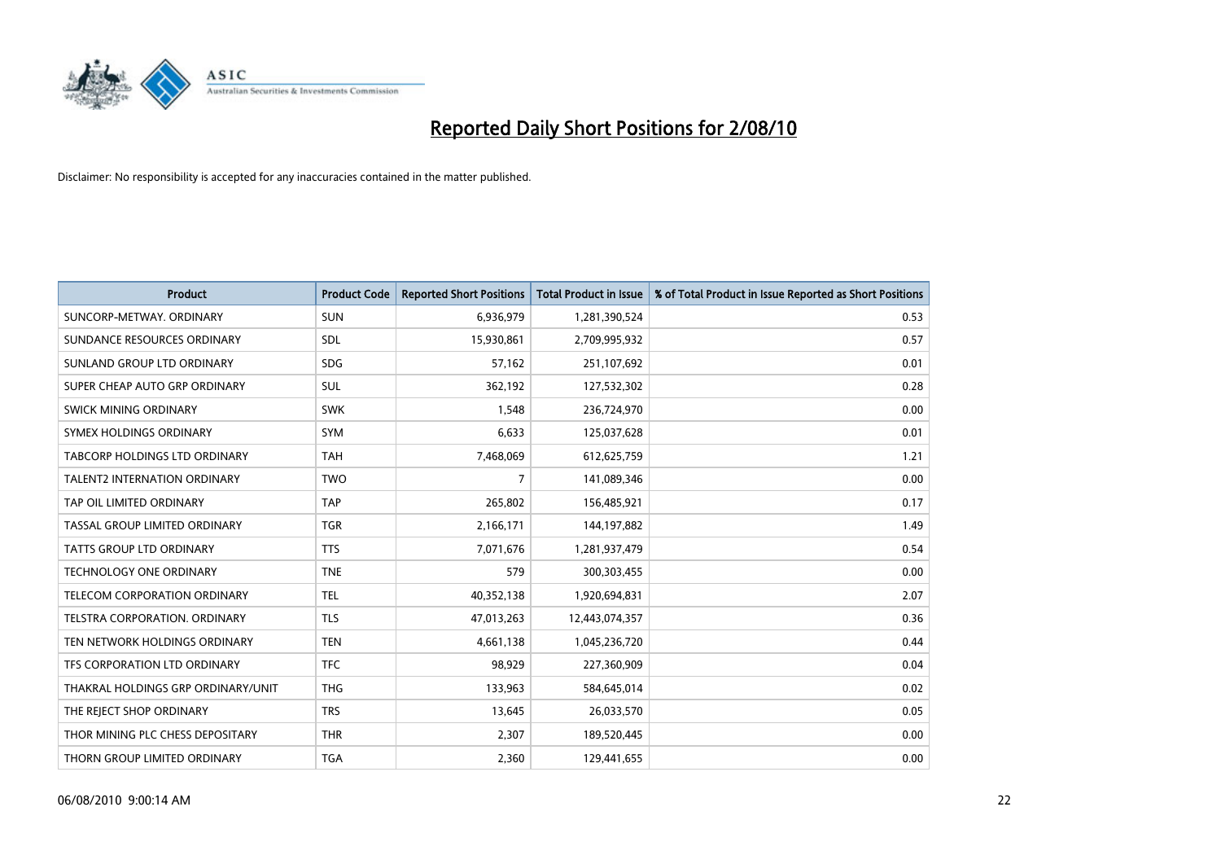

| <b>Product</b>                       | <b>Product Code</b> | <b>Reported Short Positions</b> | <b>Total Product in Issue</b> | % of Total Product in Issue Reported as Short Positions |
|--------------------------------------|---------------------|---------------------------------|-------------------------------|---------------------------------------------------------|
| SUNCORP-METWAY, ORDINARY             | <b>SUN</b>          | 6,936,979                       | 1,281,390,524                 | 0.53                                                    |
| SUNDANCE RESOURCES ORDINARY          | <b>SDL</b>          | 15,930,861                      | 2,709,995,932                 | 0.57                                                    |
| SUNLAND GROUP LTD ORDINARY           | <b>SDG</b>          | 57,162                          | 251,107,692                   | 0.01                                                    |
| SUPER CHEAP AUTO GRP ORDINARY        | <b>SUL</b>          | 362,192                         | 127,532,302                   | 0.28                                                    |
| SWICK MINING ORDINARY                | <b>SWK</b>          | 1,548                           | 236,724,970                   | 0.00                                                    |
| SYMEX HOLDINGS ORDINARY              | SYM                 | 6,633                           | 125,037,628                   | 0.01                                                    |
| <b>TABCORP HOLDINGS LTD ORDINARY</b> | <b>TAH</b>          | 7,468,069                       | 612,625,759                   | 1.21                                                    |
| <b>TALENT2 INTERNATION ORDINARY</b>  | <b>TWO</b>          | $\overline{7}$                  | 141,089,346                   | 0.00                                                    |
| TAP OIL LIMITED ORDINARY             | <b>TAP</b>          | 265,802                         | 156,485,921                   | 0.17                                                    |
| TASSAL GROUP LIMITED ORDINARY        | <b>TGR</b>          | 2,166,171                       | 144,197,882                   | 1.49                                                    |
| <b>TATTS GROUP LTD ORDINARY</b>      | <b>TTS</b>          | 7,071,676                       | 1,281,937,479                 | 0.54                                                    |
| TECHNOLOGY ONE ORDINARY              | <b>TNE</b>          | 579                             | 300,303,455                   | 0.00                                                    |
| TELECOM CORPORATION ORDINARY         | <b>TEL</b>          | 40,352,138                      | 1,920,694,831                 | 2.07                                                    |
| TELSTRA CORPORATION, ORDINARY        | <b>TLS</b>          | 47,013,263                      | 12,443,074,357                | 0.36                                                    |
| TEN NETWORK HOLDINGS ORDINARY        | <b>TEN</b>          | 4,661,138                       | 1,045,236,720                 | 0.44                                                    |
| TFS CORPORATION LTD ORDINARY         | <b>TFC</b>          | 98,929                          | 227,360,909                   | 0.04                                                    |
| THAKRAL HOLDINGS GRP ORDINARY/UNIT   | <b>THG</b>          | 133,963                         | 584,645,014                   | 0.02                                                    |
| THE REJECT SHOP ORDINARY             | <b>TRS</b>          | 13,645                          | 26,033,570                    | 0.05                                                    |
| THOR MINING PLC CHESS DEPOSITARY     | <b>THR</b>          | 2,307                           | 189,520,445                   | 0.00                                                    |
| THORN GROUP LIMITED ORDINARY         | <b>TGA</b>          | 2,360                           | 129,441,655                   | 0.00                                                    |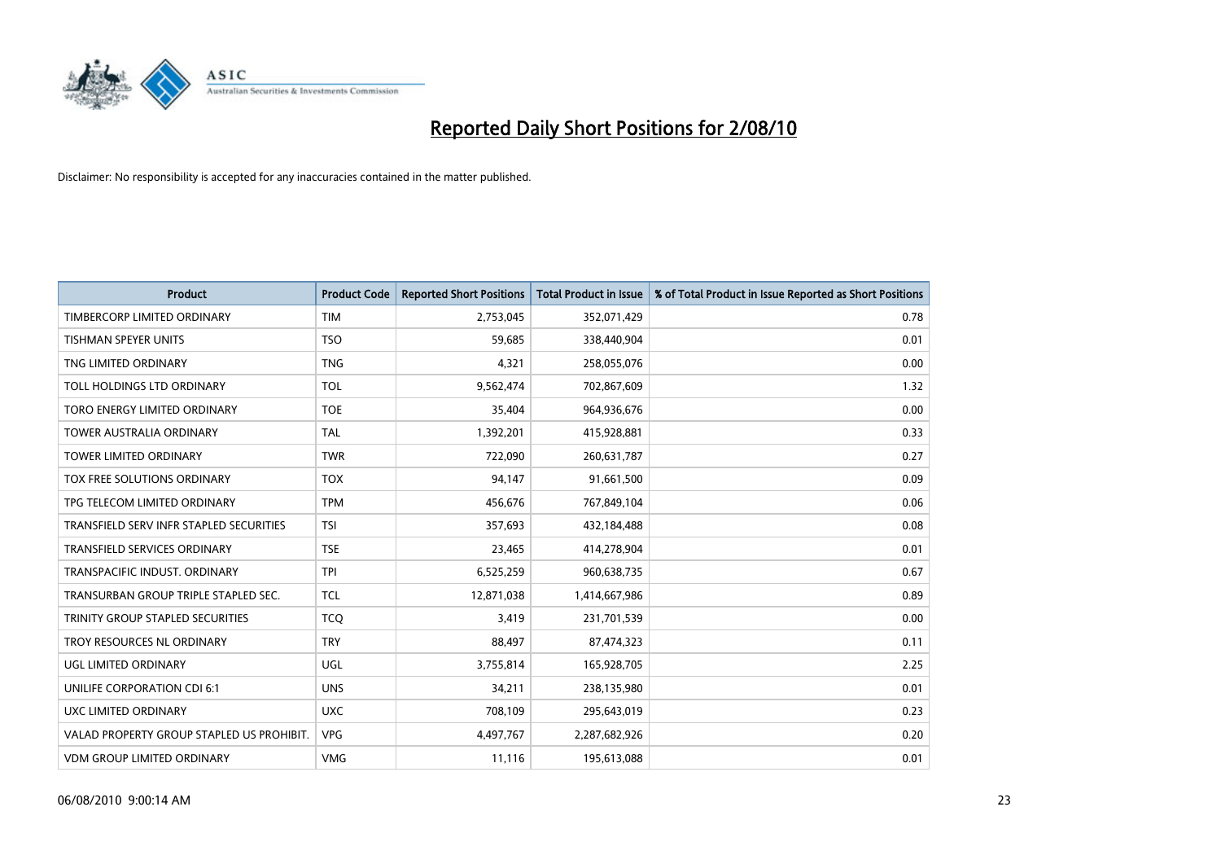

| <b>Product</b>                            | <b>Product Code</b> | <b>Reported Short Positions</b> | <b>Total Product in Issue</b> | % of Total Product in Issue Reported as Short Positions |
|-------------------------------------------|---------------------|---------------------------------|-------------------------------|---------------------------------------------------------|
| TIMBERCORP LIMITED ORDINARY               | <b>TIM</b>          | 2,753,045                       | 352,071,429                   | 0.78                                                    |
| TISHMAN SPEYER UNITS                      | <b>TSO</b>          | 59,685                          | 338,440,904                   | 0.01                                                    |
| TNG LIMITED ORDINARY                      | <b>TNG</b>          | 4,321                           | 258,055,076                   | 0.00                                                    |
| TOLL HOLDINGS LTD ORDINARY                | TOL                 | 9,562,474                       | 702,867,609                   | 1.32                                                    |
| TORO ENERGY LIMITED ORDINARY              | <b>TOE</b>          | 35,404                          | 964,936,676                   | 0.00                                                    |
| <b>TOWER AUSTRALIA ORDINARY</b>           | <b>TAL</b>          | 1,392,201                       | 415,928,881                   | 0.33                                                    |
| <b>TOWER LIMITED ORDINARY</b>             | <b>TWR</b>          | 722,090                         | 260,631,787                   | 0.27                                                    |
| TOX FREE SOLUTIONS ORDINARY               | <b>TOX</b>          | 94,147                          | 91,661,500                    | 0.09                                                    |
| TPG TELECOM LIMITED ORDINARY              | <b>TPM</b>          | 456,676                         | 767,849,104                   | 0.06                                                    |
| TRANSFIELD SERV INFR STAPLED SECURITIES   | <b>TSI</b>          | 357,693                         | 432,184,488                   | 0.08                                                    |
| <b>TRANSFIELD SERVICES ORDINARY</b>       | <b>TSE</b>          | 23,465                          | 414,278,904                   | 0.01                                                    |
| TRANSPACIFIC INDUST. ORDINARY             | <b>TPI</b>          | 6,525,259                       | 960,638,735                   | 0.67                                                    |
| TRANSURBAN GROUP TRIPLE STAPLED SEC.      | <b>TCL</b>          | 12,871,038                      | 1,414,667,986                 | 0.89                                                    |
| TRINITY GROUP STAPLED SECURITIES          | <b>TCO</b>          | 3,419                           | 231,701,539                   | 0.00                                                    |
| TROY RESOURCES NL ORDINARY                | <b>TRY</b>          | 88,497                          | 87,474,323                    | 0.11                                                    |
| UGL LIMITED ORDINARY                      | UGL                 | 3,755,814                       | 165,928,705                   | 2.25                                                    |
| UNILIFE CORPORATION CDI 6:1               | <b>UNS</b>          | 34,211                          | 238,135,980                   | 0.01                                                    |
| UXC LIMITED ORDINARY                      | <b>UXC</b>          | 708,109                         | 295,643,019                   | 0.23                                                    |
| VALAD PROPERTY GROUP STAPLED US PROHIBIT. | <b>VPG</b>          | 4,497,767                       | 2,287,682,926                 | 0.20                                                    |
| VDM GROUP LIMITED ORDINARY                | <b>VMG</b>          | 11,116                          | 195,613,088                   | 0.01                                                    |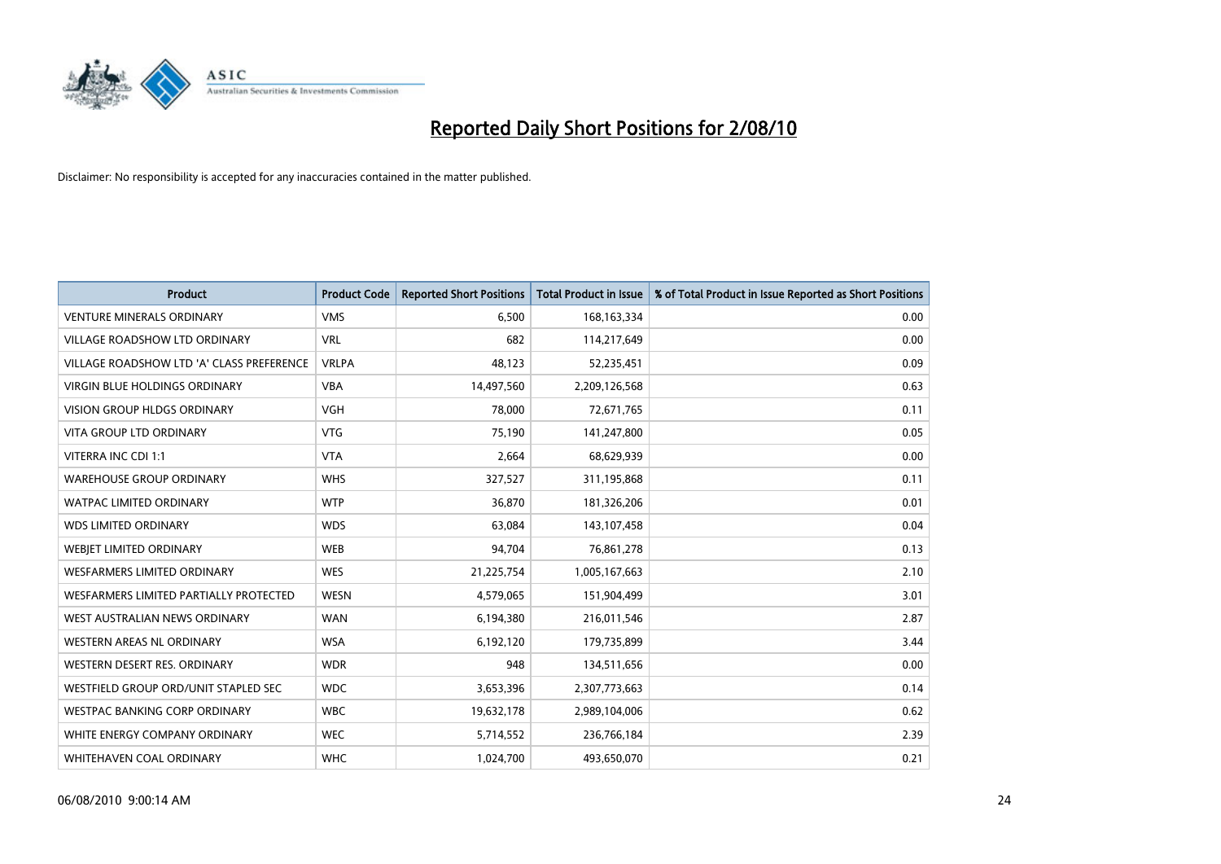

| <b>Product</b>                            | <b>Product Code</b> | <b>Reported Short Positions</b> | <b>Total Product in Issue</b> | % of Total Product in Issue Reported as Short Positions |
|-------------------------------------------|---------------------|---------------------------------|-------------------------------|---------------------------------------------------------|
| <b>VENTURE MINERALS ORDINARY</b>          | <b>VMS</b>          | 6,500                           | 168, 163, 334                 | 0.00                                                    |
| VILLAGE ROADSHOW LTD ORDINARY             | <b>VRL</b>          | 682                             | 114,217,649                   | 0.00                                                    |
| VILLAGE ROADSHOW LTD 'A' CLASS PREFERENCE | <b>VRLPA</b>        | 48,123                          | 52,235,451                    | 0.09                                                    |
| <b>VIRGIN BLUE HOLDINGS ORDINARY</b>      | <b>VBA</b>          | 14,497,560                      | 2,209,126,568                 | 0.63                                                    |
| <b>VISION GROUP HLDGS ORDINARY</b>        | <b>VGH</b>          | 78,000                          | 72,671,765                    | 0.11                                                    |
| <b>VITA GROUP LTD ORDINARY</b>            | <b>VTG</b>          | 75,190                          | 141,247,800                   | 0.05                                                    |
| VITERRA INC CDI 1:1                       | <b>VTA</b>          | 2,664                           | 68,629,939                    | 0.00                                                    |
| <b>WAREHOUSE GROUP ORDINARY</b>           | <b>WHS</b>          | 327,527                         | 311,195,868                   | 0.11                                                    |
| <b>WATPAC LIMITED ORDINARY</b>            | <b>WTP</b>          | 36,870                          | 181,326,206                   | 0.01                                                    |
| <b>WDS LIMITED ORDINARY</b>               | <b>WDS</b>          | 63,084                          | 143,107,458                   | 0.04                                                    |
| <b>WEBJET LIMITED ORDINARY</b>            | <b>WEB</b>          | 94,704                          | 76,861,278                    | 0.13                                                    |
| <b>WESFARMERS LIMITED ORDINARY</b>        | <b>WES</b>          | 21,225,754                      | 1,005,167,663                 | 2.10                                                    |
| WESFARMERS LIMITED PARTIALLY PROTECTED    | <b>WESN</b>         | 4,579,065                       | 151,904,499                   | 3.01                                                    |
| WEST AUSTRALIAN NEWS ORDINARY             | <b>WAN</b>          | 6,194,380                       | 216,011,546                   | 2.87                                                    |
| WESTERN AREAS NL ORDINARY                 | <b>WSA</b>          | 6,192,120                       | 179,735,899                   | 3.44                                                    |
| WESTERN DESERT RES. ORDINARY              | <b>WDR</b>          | 948                             | 134,511,656                   | 0.00                                                    |
| WESTFIELD GROUP ORD/UNIT STAPLED SEC      | <b>WDC</b>          | 3,653,396                       | 2,307,773,663                 | 0.14                                                    |
| WESTPAC BANKING CORP ORDINARY             | <b>WBC</b>          | 19,632,178                      | 2,989,104,006                 | 0.62                                                    |
| WHITE ENERGY COMPANY ORDINARY             | <b>WEC</b>          | 5,714,552                       | 236,766,184                   | 2.39                                                    |
| WHITEHAVEN COAL ORDINARY                  | <b>WHC</b>          | 1,024,700                       | 493,650,070                   | 0.21                                                    |